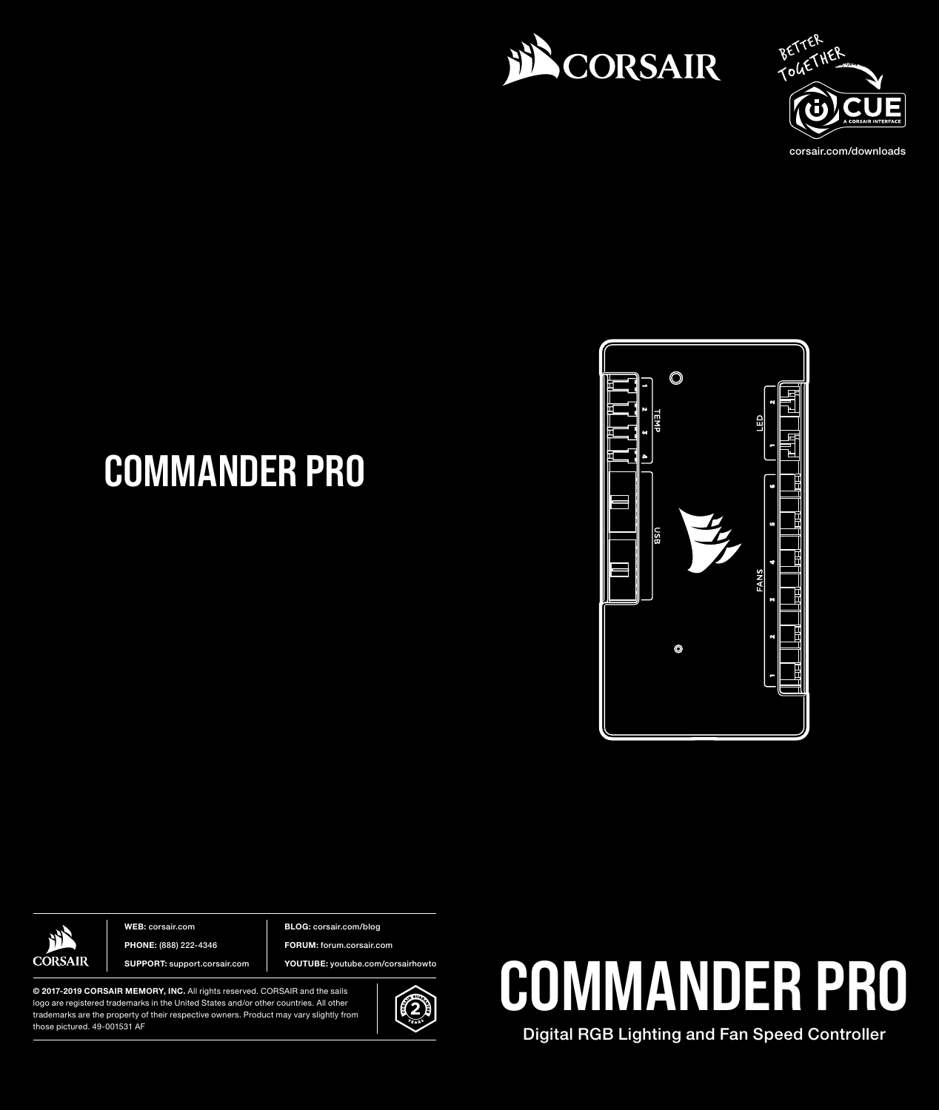



corsair.com/downloads

# COMMANDER PRO





WEB: corsair.com PHONE: (888) 222-4346 SUPPORT: support.corsair.com BLOG: corsair.com/blog

FORUM: forum.corsair.com

YOUTUBE: youtube.com/corsairhowto

© 2017-2019 CORSAIR MEMORY, INC. All rights reserved. CORSAIR and the sails logo are registered trademarks in the United States and/or other countries. All other trademarks are the property of their respective owners. Product may vary slightly from those pictured. 49-001531 AF





Digital RGB Lighting and Fan Speed Controller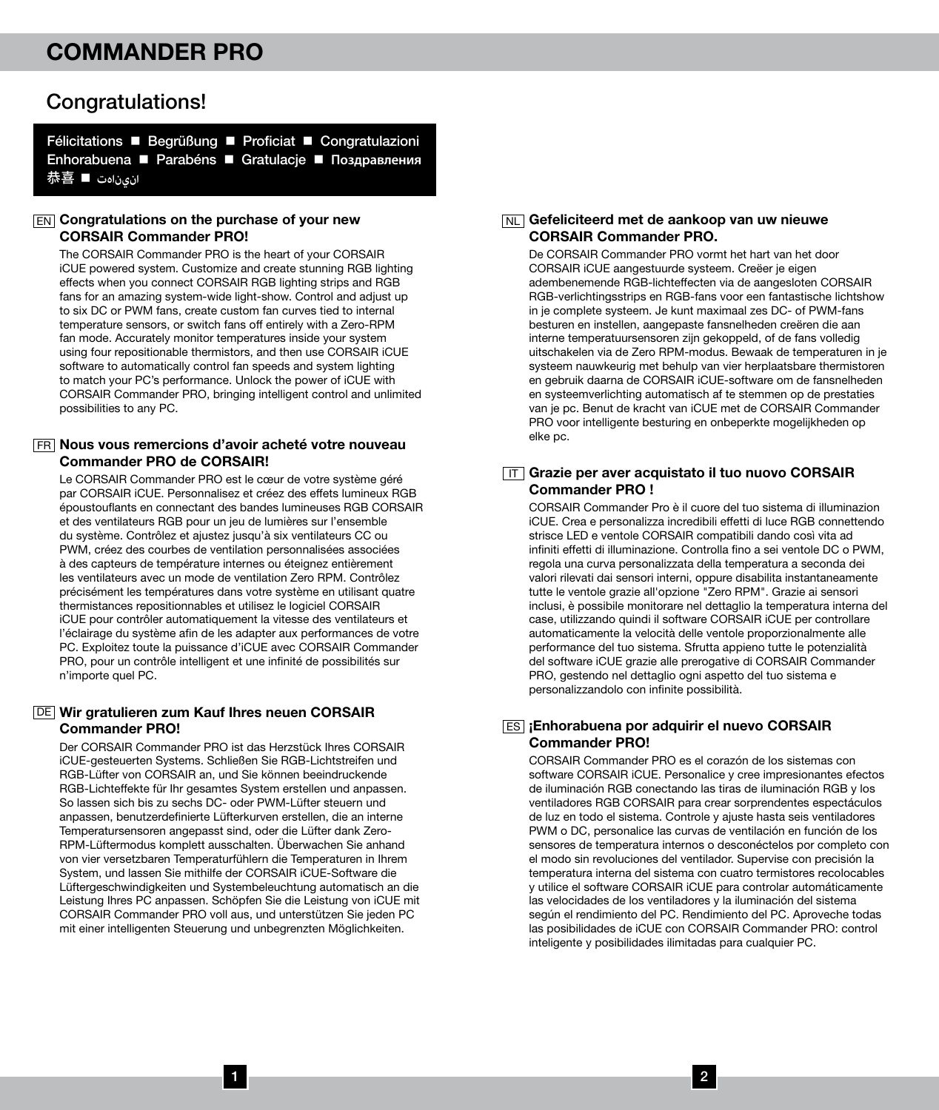### Congratulations!

Félicitations ■ Begrüßung ■ Proficiat ■ Congratulazioni Enhorabuena **■ Parabéns ■ Gratulacje ■ Поздравления** 恭喜 n **انيناهت**

#### **EN Congratulations on the purchase of your new** CORSAIR Commander PRO!

The CORSAIR Commander PRO is the heart of your CORSAIR iCUE powered system. Customize and create stunning RGB lighting effects when you connect CORSAIR RGB lighting strips and RGB fans for an amazing system-wide light-show. Control and adjust up to six DC or PWM fans, create custom fan curves tied to internal temperature sensors, or switch fans off entirely with a Zero-RPM fan mode. Accurately monitor temperatures inside your system using four repositionable thermistors, and then use CORSAIR iCUE software to automatically control fan speeds and system lighting to match your PC's performance. Unlock the power of iCUE with CORSAIR Commander PRO, bringing intelligent control and unlimited possibilities to any PC.

#### Nous vous remercions d'avoir acheté votre nouveau FR Commander PRO de CORSAIR!

Le CORSAIR Commander PRO est le cœur de votre système géré par CORSAIR iCUE. Personnalisez et créez des effets lumineux RGB époustouflants en connectant des bandes lumineuses RGB CORSAIR et des ventilateurs RGB pour un jeu de lumières sur l'ensemble du système. Contrôlez et ajustez jusqu'à six ventilateurs CC ou PWM, créez des courbes de ventilation personnalisées associées à des capteurs de température internes ou éteignez entièrement les ventilateurs avec un mode de ventilation Zero RPM. Contrôlez précisément les températures dans votre système en utilisant quatre thermistances repositionnables et utilisez le logiciel CORSAIR iCUE pour contrôler automatiquement la vitesse des ventilateurs et l'éclairage du système afin de les adapter aux performances de votre PC. Exploitez toute la puissance d'iCUE avec CORSAIR Commander PRO, pour un contrôle intelligent et une infinité de possibilités sur n'importe quel PC.

#### Wir gratulieren zum Kauf Ihres neuen CORSAIR DE Commander PRO!

Der CORSAIR Commander PRO ist das Herzstück Ihres CORSAIR iCUE-gesteuerten Systems. Schließen Sie RGB-Lichtstreifen und RGB-Lüfter von CORSAIR an, und Sie können beeindruckende RGB-Lichteffekte für Ihr gesamtes System erstellen und anpassen. So lassen sich bis zu sechs DC- oder PWM-Lüfter steuern und anpassen, benutzerdefinierte Lüfterkurven erstellen, die an interne Temperatursensoren angepasst sind, oder die Lüfter dank Zero-RPM-Lüftermodus komplett ausschalten. Überwachen Sie anhand von vier versetzbaren Temperaturfühlern die Temperaturen in Ihrem System, und lassen Sie mithilfe der CORSAIR iCUE-Software die Lüftergeschwindigkeiten und Systembeleuchtung automatisch an die Leistung Ihres PC anpassen. Schöpfen Sie die Leistung von iCUE mit CORSAIR Commander PRO voll aus, und unterstützen Sie jeden PC mit einer intelligenten Steuerung und unbegrenzten Möglichkeiten.

#### <sub>NL</sub>] Gefeliciteerd met de aankoop van uw nieuwe CORSAIR Commander PRO.

De CORSAIR Commander PRO vormt het hart van het door CORSAIR iCUE aangestuurde systeem. Creëer je eigen adembenemende RGB-lichteffecten via de aangesloten CORSAIR RGB-verlichtingsstrips en RGB-fans voor een fantastische lichtshow in je complete systeem. Je kunt maximaal zes DC- of PWM-fans besturen en instellen, aangepaste fansnelheden creëren die aan interne temperatuursensoren zijn gekoppeld, of de fans volledig uitschakelen via de Zero RPM-modus. Bewaak de temperaturen in je systeem nauwkeurig met behulp van vier herplaatsbare thermistoren en gebruik daarna de CORSAIR iCUE-software om de fansnelheden en systeemverlichting automatisch af te stemmen op de prestaties van je pc. Benut de kracht van iCUE met de CORSAIR Commander PRO voor intelligente besturing en onbeperkte mogelijkheden op elke pc.

#### IT Grazie per aver acquistato il tuo nuovo CORSAIR Commander PRO !

CORSAIR Commander Pro è il cuore del tuo sistema di illuminazion iCUE. Crea e personalizza incredibili effetti di luce RGB connettendo strisce LED e ventole CORSAIR compatibili dando così vita ad infiniti effetti di illuminazione. Controlla fino a sei ventole DC o PWM, regola una curva personalizzata della temperatura a seconda dei valori rilevati dai sensori interni, oppure disabilita instantaneamente tutte le ventole grazie all'opzione "Zero RPM". Grazie ai sensori inclusi, è possibile monitorare nel dettaglio la temperatura interna del case, utilizzando quindi il software CORSAIR iCUE per controllare automaticamente la velocità delle ventole proporzionalmente alle performance del tuo sistema. Sfrutta appieno tutte le potenzialità del software iCUE grazie alle prerogative di CORSAIR Commander PRO, gestendo nel dettaglio ogni aspetto del tuo sistema e personalizzandolo con infinite possibilità.

#### ES iEnhorabuena por adquirir el nuevo CORSAIR Commander PRO!

CORSAIR Commander PRO es el corazón de los sistemas con software CORSAIR iCUE. Personalice y cree impresionantes efectos de iluminación RGB conectando las tiras de iluminación RGB y los ventiladores RGB CORSAIR para crear sorprendentes espectáculos de luz en todo el sistema. Controle y ajuste hasta seis ventiladores PWM o DC, personalice las curvas de ventilación en función de los sensores de temperatura internos o desconéctelos por completo con el modo sin revoluciones del ventilador. Supervise con precisión la temperatura interna del sistema con cuatro termistores recolocables y utilice el software CORSAIR iCUE para controlar automáticamente las velocidades de los ventiladores y la iluminación del sistema según el rendimiento del PC. Rendimiento del PC. Aproveche todas las posibilidades de iCUE con CORSAIR Commander PRO: control inteligente y posibilidades ilimitadas para cualquier PC.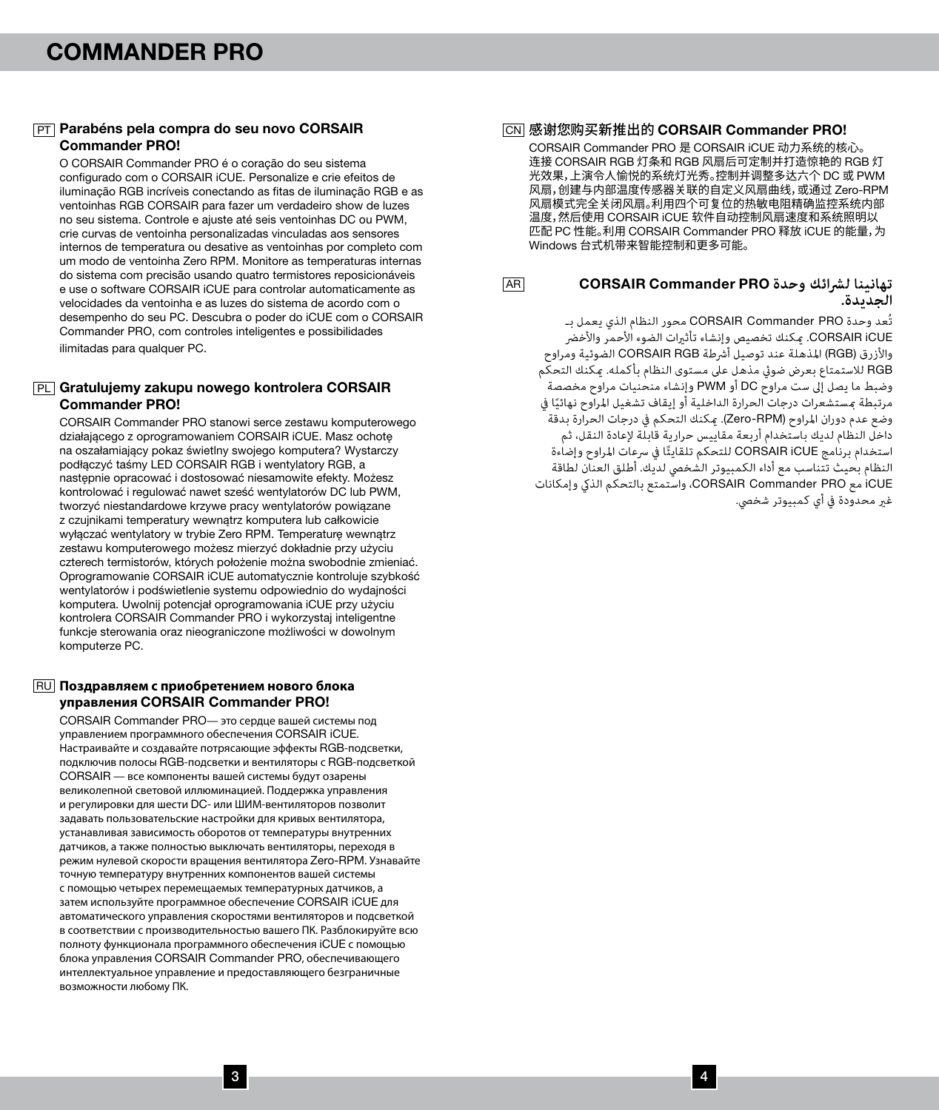#### PT Parabéns pela compra do seu novo CORSAIR Commander PRO!

O CORSAIR Commander PRO é o coração do seu sistema configurado com o CORSAIR iCUE. Personalize e crie efeitos de iluminação RGB incríveis conectando as fitas de iluminação RGB e as ventoinhas RGB CORSAIR para fazer um verdadeiro show de luzes no seu sistema. Controle e ajuste até seis ventoinhas DC ou PWM, crie curvas de ventoinha personalizadas vinculadas aos sensores internos de temperatura ou desative as ventoinhas por completo com um modo de ventoinha Zero RPM. Monitore as temperaturas internas do sistema com precisão usando quatro termistores reposicionáveis e use o software CORSAIR iCUE para controlar automaticamente as velocidades da ventoinha e as luzes do sistema de acordo com o desempenho do seu PC. Descubra o poder do iCUE com o CORSAIR Commander PRO, com controles inteligentes e possibilidades ilimitadas para qualquer PC.

#### <u>P∟</u> Gratulujemy zakupu nowego kontrolera CORSAIR Commander PRO!

CORSAIR Commander PRO stanowi serce zestawu komputerowego działającego z oprogramowaniem CORSAIR iCUE. Masz ochotę na oszałamiający pokaz świetlny swojego komputera? Wystarczy podłączyć taśmy LED CORSAIR RGB i wentylatory RGB, a następnie opracować i dostosować niesamowite efekty. Możesz kontrolować i regulować nawet sześć wentylatorów DC lub PWM, tworzyć niestandardowe krzywe pracy wentylatorów powiązane z czujnikami temperatury wewnątrz komputera lub całkowicie wyłączać wentylatory w trybie Zero RPM. Temperaturę wewnątrz zestawu komputerowego możesz mierzyć dokładnie przy użyciu czterech termistorów, których położenie można swobodnie zmieniać. Oprogramowanie CORSAIR iCUE automatycznie kontroluje szybkość wentylatorów i podświetlenie systemu odpowiednio do wydajności komputera. Uwolnij potencjał oprogramowania iCUE przy użyciu kontrolera CORSAIR Commander PRO i wykorzystaj inteligentne funkcje sterowania oraz nieograniczone możliwości w dowolnym komputerze PC.

#### **Поздравляем с приобретением нового блока**  RU **управления** CORSAIR Commander PRO!

CORSAIR Commander PRO— это сердце вашей системы под управлением программного обеспечения CORSAIR iCUE. Настраивайте и создавайте потрясающие эффекты RGB-подсветки, подключив полосы RGB-подсветки и вентиляторы с RGB-подсветкой CORSAIR — все компоненты вашей системы будут озарены великолепной световой иллюминацией. Поддержка управления и регулировки для шести DC- или ШИМ-вентиляторов позволит задавать пользовательские настройки для кривых вентилятора, устанавливая зависимость оборотов от температуры внутренних датчиков, а также полностью выключать вентиляторы, переходя в режим нулевой скорости вращения вентилятора Zero-RPM. Узнавайте .<br>точную температуру внутренних компонентов вашей системы с помощью четырех перемещаемых температурных датчиков, а затем используйте программное обеспечение CORSAIR iCUE для автоматического управления скоростями вентиляторов и подсветкой в соответствии с производительностью вашего ПК. Разблокируйте всю полноту функционала программного обеспечения iCUE с помощью блока управления CORSAIR Commander PRO, обеспечивающего интеллектуальное управление и предоставляющего безграничные возможности любому ПК.

### 感谢您购买新推出的 CORSAIR Commander PRO! CN

CORSAIR Commander PRO 是 CORSAIR iCUE 动力系统的核心。 连接 CORSAIR RGB 灯条和 RGB 风扇后可定制并打造惊艳的 RGB 灯 光效果,上演令人愉悦的系统灯光秀。控制并调整多达六个 DC 或 PWM 风扇,创建与内部温度传感器关联的自定义风扇曲线,或通过 Zero-RPM 风扇模式完全关闭风扇。利用四个可复位的热敏电阻精确监控系统内部 温度,然后使用 CORSAIR iCUE 软件自动控制风扇速度和系统照明以 匹配 PC 性能。利用 CORSAIR Commander PRO 释放 iCUE 的能量,为 Windows 台式机带来智能控制和更多可能。

**AR** 

#### **تهانينا لرشائك وحدة** PRO Commander CORSAIR **الجديدة.**

تُعد وحدة PRO Commander CORSAIR محور النظام الذي يعمل بـ iCUE CORSAIR. ميكنك تخصيص وإنشاء تأثريات الضوء األحمر واألخرض والأزرق (RGB) المذهلة عند توصيل أشرطة CORSAIR RGB الضوئية ومراوح RGB لالستمتاع بعرض ضويئ مذهل عىل مستوى النظام بأكمله. ميكنك التحكم وضبط ما يصل إىل ست مراوح DC أو PWM وإنشاء منحنيات مراوح مخصصة مرتبطة مستشعرات درجات الحرارة الداخلية أو إيقاف تشغيل المراوح نهائيًا في<br>مستشعرات دريس وضع عدم دوران املراوح )RPM-Zero). ميكنك التحكم يف درجات الحرارة بدقة داخل النظام لديك باستخدام أربعة مقاييس حرارية قابلة إلعادة النقل، ثم ستخدام برنامج CORSAIR iCUE للتحكم تلقاينًا في سرعات المراوح وإضاءة النظام بحيث تتناسب مع أداء الكمبيوتر الشخيص لديك. أطلق العنان لطاقة iCUE مع PRO Commander CORSAIR، واستمتع بالتحكم الذيك وإمكانات غير محدودة في أي كمبيوتر شخصي.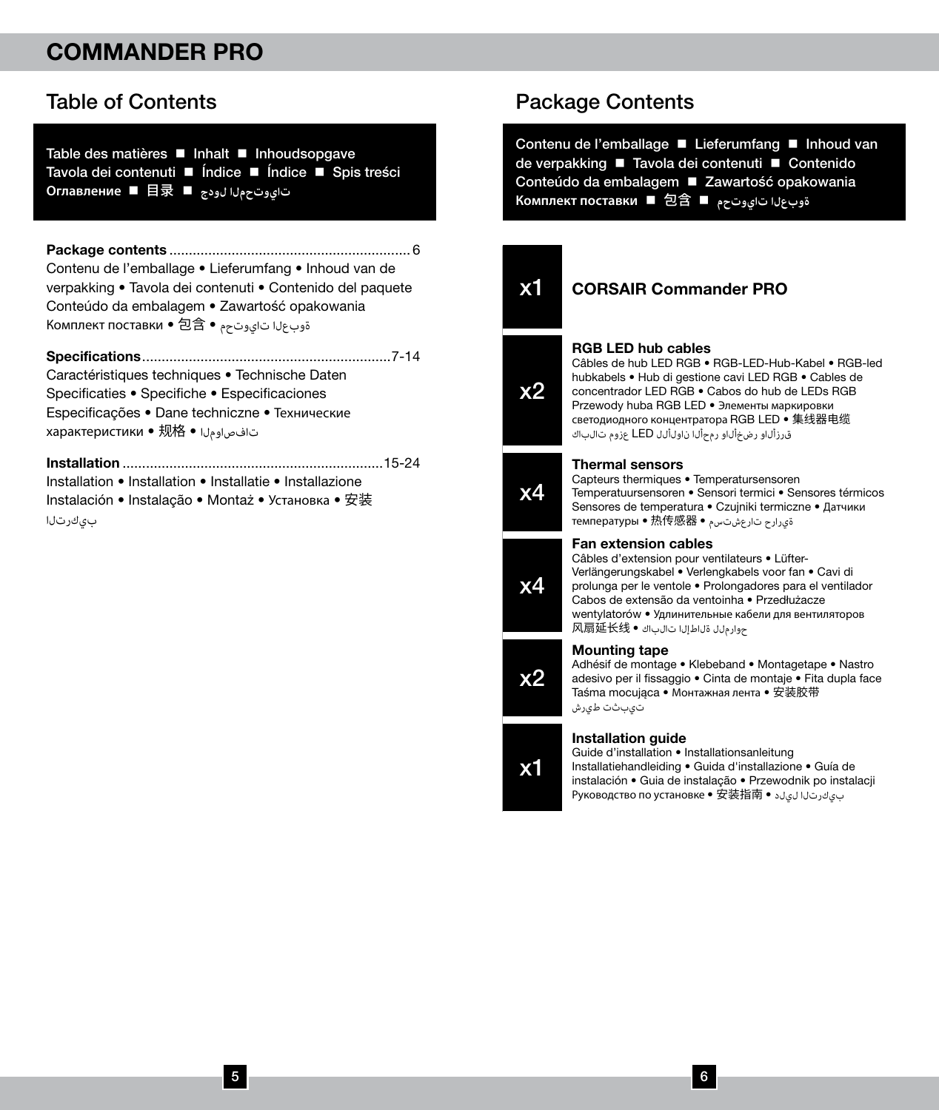### Table of Contents

Table des matières **■** Inhalt ■ Inhoudsopgave Tavola dei contenuti ■ Índice ■ Índice ■ Spis treści **Оглавление** n 目录 n **لودج تايوتحملا**

Package contents .............................................................. 6 Contenu de l'emballage • Lieferumfang • Inhoud van de verpakking • Tavola dei contenuti • Contenido del paquete Conteúdo da embalagem • Zawartość opakowania Комплект поставки • 包含 • تايوتحم ةوبعلا

Specifications................................................................7-14

Caractéristiques techniques • Technische Daten Specificaties • Specifiche • Especificaciones Especificações • Dane techniczne • Технические характеристики • 规格 • تافصاوملا

Installation ...................................................................15-24 Installation • Installation • Installatie • Installazione Instalación • Instalação • Montaż • Установка • 安装 بىكرتلا

### Package Contents

Contenu de l'emballage Lieferumfang IInhoud van de verpakking ■ Tavola dei contenuti ■ Contenido Conteúdo da embalagem **E** Zawartość opakowania **Комплект поставки** n 包含 n **تايوتحم ةوبعلا**

x2

x4

x2

x1

### x1 CORSAIR Commander PRO

#### RGB LED hub cables

Câbles de hub LED RGB • RGB-LED-Hub-Kabel • RGB-led hubkabels • Hub di gestione cavi LED RGB • Cables de concentrador LED RGB • Cabos do hub de LEDs RGB Przewody huba RGB LED • Элементы маркировки светодиодного концентратора RGB LED • 集线器电缆 قرزألاو رضخألاو رمحألا ناولألل LED عزوم تالباك

#### Thermal sensors

Capteurs thermiques • Temperatursensoren Temperatuursensoren • Sensori termici • Sensores térmicos Sensores de temperatura • Czujniki termiczne • Датчики ةيرارح تارعشتسم • 热传感器 • температуры



#### Fan extension cables

Câbles d'extension pour ventilateurs • Lüfter-Verlängerungskabel • Verlengkabels voor fan • Cavi di prolunga per le ventole • Prolongadores para el ventilador Cabos de extensão da ventoinha • Przedłużacze wentylatorów • Удлинительные кабели для вентиляторов حوارملل ةلاطإلا تالباك • 风扇延长线

#### Mounting tape

Adhésif de montage • Klebeband • Montagetape • Nastro adesivo per il fissaggio • Cinta de montaje • Fita dupla face Taśma mocująca • Монтажная лента • 安装胶带 تيبثت طيرش

#### Installation guide

Guide d'installation • Installationsanleitung Installatiehandleiding • Guida d'installazione • Guía de instalación • Guia de instalação • Przewodnik po instalacji Руководство по установке • 安装指南 • ليلد بيكرتلا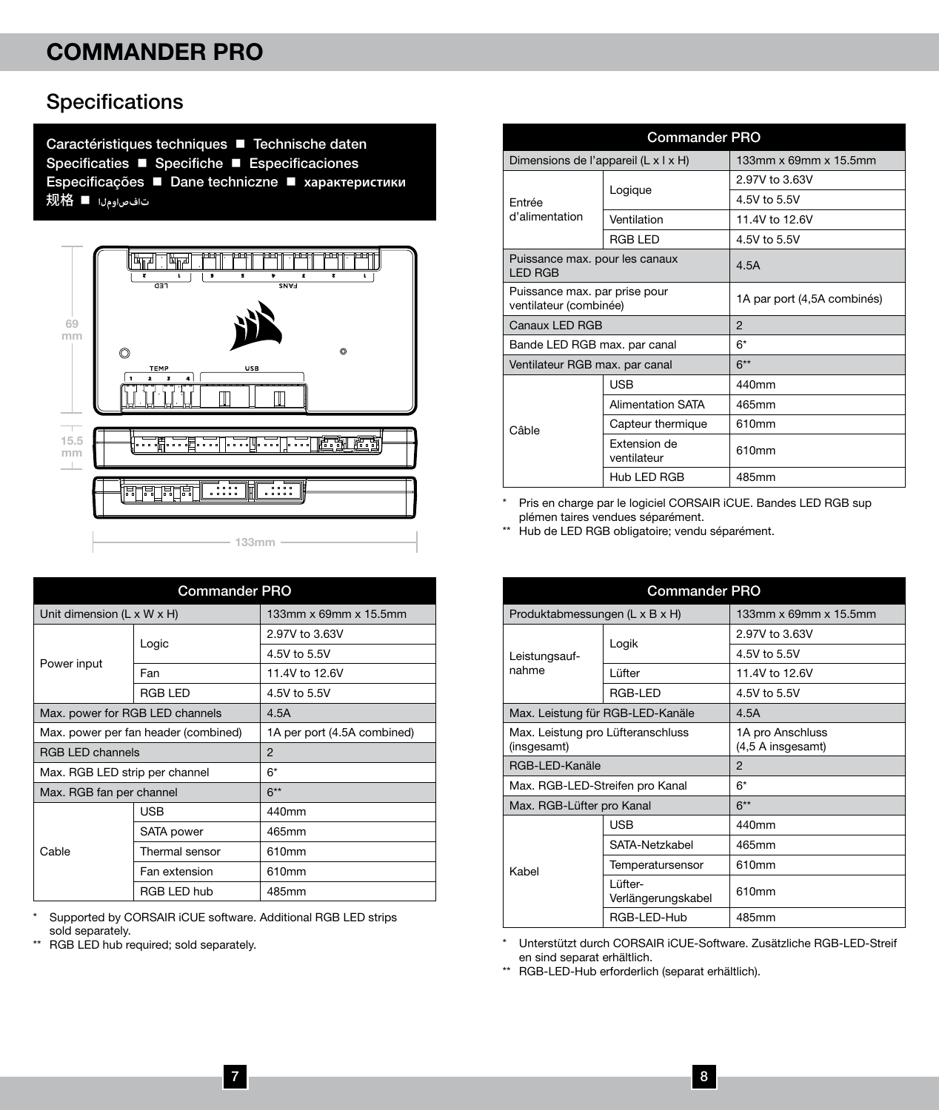### Specifications

Caractéristiques techniques **n** Technische daten Specificaties **n** Specifiche **n** Especificaciones Especificações n Dane techniczne n **характеристики** 规格 n **تافصاوملا**



| <b>Commander PRO</b>            |                                      |                             |
|---------------------------------|--------------------------------------|-----------------------------|
| Unit dimension (L x W x H)      |                                      | 133mm x 69mm x 15.5mm       |
|                                 | Logic                                | 2.97V to 3.63V              |
| Power input                     |                                      | 4.5V to 5.5V                |
|                                 | Fan                                  | 11.4V to 12.6V              |
|                                 | RGB LED                              | 4.5V to 5.5V                |
| Max. power for RGB LED channels |                                      | 4.5A                        |
|                                 | Max. power per fan header (combined) | 1A per port (4.5A combined) |
| <b>RGB LED channels</b>         |                                      | $\mathfrak{p}$              |
| Max. RGB LED strip per channel  |                                      | $6*$                        |
| Max. RGB fan per channel        |                                      | $6**$                       |
| Cable                           | <b>USB</b>                           | 440mm                       |
|                                 | SATA power                           | 465mm                       |
|                                 | Thermal sensor                       | 610mm                       |
|                                 | Fan extension                        | 610mm                       |
|                                 | RGB LED hub                          | 485mm                       |

\* Supported by CORSAIR iCUE software. Additional RGB LED strips sold separately.

\*\* RGB LED hub required; sold separately.

| <b>Commander PRO</b>                                    |                             |                             |
|---------------------------------------------------------|-----------------------------|-----------------------------|
| Dimensions de l'appareil (L x I x H)                    |                             | 133mm x 69mm x 15.5mm       |
|                                                         | Logique                     | 2.97V to 3.63V              |
| Entrée                                                  |                             | 4.5V to 5.5V                |
| d'alimentation                                          | Ventilation                 | 11.4V to 12.6V              |
|                                                         | <b>RGB LED</b>              | 4.5V to 5.5V                |
| Puissance max. pour les canaux<br><b>LED RGB</b>        |                             | 4.5A                        |
| Puissance max. par prise pour<br>ventilateur (combinée) |                             | 1A par port (4,5A combinés) |
| Canaux LED RGB                                          |                             | $\mathfrak{p}$              |
| Bande LED RGB max. par canal                            |                             | 6*                          |
| Ventilateur RGB max. par canal                          |                             | $6**$                       |
|                                                         | <b>USB</b>                  | 440mm                       |
| Câble                                                   | <b>Alimentation SATA</b>    | 465mm                       |
|                                                         | Capteur thermique           | 610mm                       |
|                                                         | Extension de<br>ventilateur | 610mm                       |
|                                                         | Hub LED RGB                 | 485mm                       |

\* Pris en charge par le logiciel CORSAIR iCUE. Bandes LED RGB sup plémen taires vendues séparément.

\*\* Hub de LED RGB obligatoire; vendu séparément.

| <b>Commander PRO</b>                             |                                  |                                       |
|--------------------------------------------------|----------------------------------|---------------------------------------|
| Produktabmessungen (L x B x H)                   |                                  | 133mm x 69mm x 15.5mm                 |
|                                                  | Logik                            | 2.97V to 3.63V                        |
| Leistungsauf-                                    |                                  | 4.5V to 5.5V                          |
| nahme                                            | Lüfter                           | 11.4V to 12.6V                        |
|                                                  | RGB-LED                          | 4.5V to 5.5V                          |
|                                                  | Max. Leistung für RGB-LED-Kanäle | 4.5A                                  |
| Max. Leistung pro Lüfteranschluss<br>(insgesamt) |                                  | 1A pro Anschluss<br>(4,5 A insgesamt) |
| RGB-LED-Kanäle                                   |                                  | $\mathfrak{p}$                        |
| Max. RGB-LED-Streifen pro Kanal                  |                                  | $6*$                                  |
| Max. RGB-Lüfter pro Kanal                        |                                  | $6**$                                 |
|                                                  | <b>USB</b>                       | 440mm                                 |
|                                                  | SATA-Netzkabel                   | 465mm                                 |
| Kahel                                            | Temperatursensor                 | 610mm                                 |
|                                                  | Lüfter-<br>Verlängerungskabel    | 610mm                                 |
|                                                  | RGB-LED-Hub                      | 485mm                                 |

\* Unterstützt durch CORSAIR iCUE-Software. Zusätzliche RGB-LED-Streif en sind separat erhältlich.

\*\* RGB-LED-Hub erforderlich (separat erhältlich).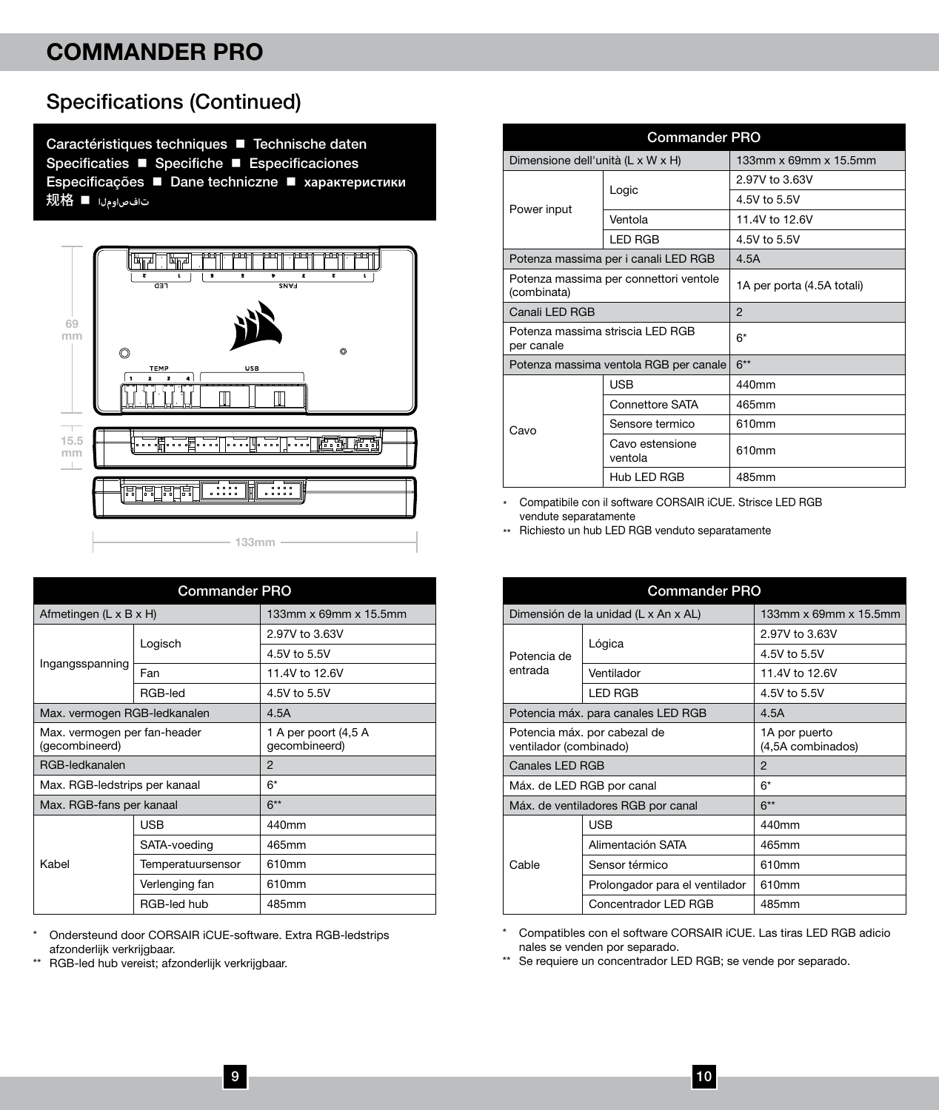### Specifications (Continued)

Caractéristiques techniques **Technische daten** Specificaties **n** Specifiche **n** Especificaciones Especificações n Dane techniczne n **характеристики** 规格 n **تافصاوملا**



| <b>Commander PRO</b>                           |                   |                                       |
|------------------------------------------------|-------------------|---------------------------------------|
| Afmetingen (L x B x H)                         |                   | 133mm x 69mm x 15.5mm                 |
|                                                | Logisch           | 2.97V to 3.63V                        |
|                                                |                   | 4.5V to 5.5V                          |
| Ingangsspanning                                | Fan               | 11.4V to 12.6V                        |
|                                                | RGB-led           | 4.5V to 5.5V                          |
| Max. vermogen RGB-ledkanalen                   |                   | 4.5A                                  |
| Max. vermogen per fan-header<br>(gecombineerd) |                   | 1 A per poort (4,5 A<br>gecombineerd) |
| RGB-ledkanalen                                 |                   | $\mathfrak{p}$                        |
| Max. RGB-ledstrips per kanaal                  |                   | 6*                                    |
| Max. RGB-fans per kanaal                       |                   | $6**$                                 |
|                                                | <b>USB</b>        | 440mm                                 |
| Kahel                                          | SATA-voeding      | 465mm                                 |
|                                                | Temperatuursensor | 610mm                                 |
|                                                | Verlenging fan    | 610mm                                 |
|                                                | RGB-led hub       | 485mm                                 |

\* Ondersteund door CORSAIR iCUE-software. Extra RGB-ledstrips afzonderlijk verkrijgbaar.

\*\* RGB-led hub vereist; afzonderlijk verkrijgbaar.

| <b>Commander PRO</b>                                  |                                        |                            |
|-------------------------------------------------------|----------------------------------------|----------------------------|
| Dimensione dell'unità (L x W x H)                     |                                        | 133mm x 69mm x 15.5mm      |
|                                                       | Logic                                  | 2.97V to 3.63V             |
|                                                       |                                        | 4.5V to 5.5V               |
| Power input                                           | Ventola                                | 11.4V to 12.6V             |
|                                                       | <b>LED RGB</b>                         | 4.5V to 5.5V               |
|                                                       | Potenza massima per i canali LED RGB   | 4.5A                       |
| Potenza massima per connettori ventole<br>(combinata) |                                        | 1A per porta (4.5A totali) |
| Canali LED RGB                                        |                                        | $\mathfrak{p}$             |
| Potenza massima striscia LED RGB<br>per canale        |                                        | 6*                         |
|                                                       | Potenza massima ventola RGB per canale | $6**$                      |
|                                                       | <b>USB</b>                             | 440mm                      |
|                                                       | Connettore SATA                        | 465mm                      |
| Cavo                                                  | Sensore termico                        | 610mm                      |
|                                                       | Cavo estensione<br>ventola             | 610mm                      |
|                                                       | Hub LED RGB                            | 485mm                      |

\* Compatibile con il software CORSAIR iCUE. Strisce LED RGB vendute separatamente

\*\* Richiesto un hub LED RGB venduto separatamente

| <b>Commander PRO</b>                                   |                                      |                                    |
|--------------------------------------------------------|--------------------------------------|------------------------------------|
|                                                        | Dimensión de la unidad (L x An x AL) | 133mm x 69mm x 15.5mm              |
|                                                        |                                      | 2.97V to 3.63V                     |
| Potencia de                                            | Lógica                               | 4.5V to 5.5V                       |
| entrada                                                | Ventilador                           | 11.4V to 12.6V                     |
|                                                        | <b>LED RGB</b>                       | 4.5V to 5.5V                       |
|                                                        | Potencia máx. para canales LED RGB   | 4.5A                               |
| Potencia máx. por cabezal de<br>ventilador (combinado) |                                      | 1A por puerto<br>(4,5A combinados) |
| Canales LED RGB                                        |                                      | $\mathfrak{p}$                     |
| Máx. de LED RGB por canal                              |                                      | $6*$                               |
| Máx. de ventiladores RGB por canal                     |                                      | $6**$                              |
|                                                        | <b>USB</b>                           | 440mm                              |
|                                                        | Alimentación SATA                    | 465mm                              |
| Cable                                                  | Sensor térmico                       | 610mm                              |
|                                                        | Prolongador para el ventilador       | 610mm                              |
|                                                        | Concentrador LED RGB                 | 485mm                              |

\* Compatibles con el software CORSAIR iCUE. Las tiras LED RGB adicio nales se venden por separado.

\*\* Se requiere un concentrador LED RGB; se vende por separado.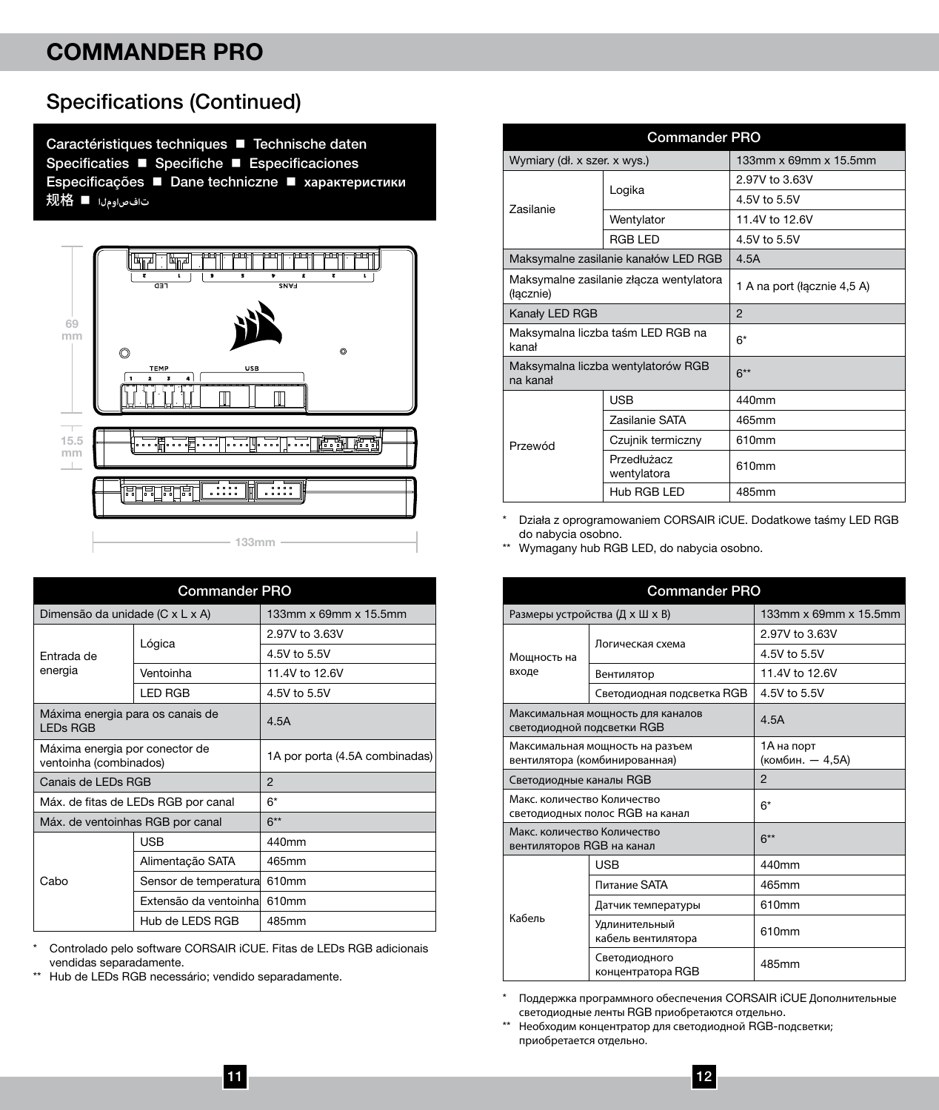### Specifications (Continued)

Caractéristiques techniques **Technische daten** Specificaties **n** Specifiche **n** Especificaciones Especificações n Dane techniczne n **характеристики** 规格 n **تافصاوملا**



| <b>Commander PRO</b>                                     |                        |                                |
|----------------------------------------------------------|------------------------|--------------------------------|
| Dimensão da unidade (C x L x A)                          |                        | 133mm x 69mm x 15.5mm          |
|                                                          | Lógica                 | 2.97V to 3.63V                 |
| Entrada de                                               |                        | 4.5V to 5.5V                   |
| energia                                                  | Ventoinha              | 11.4V to 12.6V                 |
|                                                          | <b>LED RGB</b>         | 4.5V to 5.5V                   |
| Máxima energia para os canais de<br><b>LEDs RGB</b>      |                        | 4.5A                           |
| Máxima energia por conector de<br>ventoinha (combinados) |                        | 1A por porta (4.5A combinadas) |
| Canais de LEDs RGB                                       |                        | $\mathfrak{p}$                 |
| Máx. de fitas de LEDs RGB por canal                      |                        | $6*$                           |
| Máx. de ventoinhas RGB por canal                         |                        | $6**$                          |
| Cabo                                                     | <b>USB</b>             | 440mm                          |
|                                                          | Alimentação SATA       | 465mm                          |
|                                                          | Sensor de temperatura  | 610mm                          |
|                                                          | Extensão da ventoinhal | 610mm                          |
|                                                          | Hub de LEDS RGB        | 485mm                          |

\* Controlado pelo software CORSAIR iCUE. Fitas de LEDs RGB adicionais vendidas separadamente.

\*\* Hub de LEDs RGB necessário; vendido separadamente.

| <b>Commander PRO</b>                                 |                                      |                             |
|------------------------------------------------------|--------------------------------------|-----------------------------|
| Wymiary (dł. x szer. x wys.)                         |                                      | 133mm x 69mm x 15.5mm       |
|                                                      | Logika                               | 2.97V to 3.63V              |
| <b>Zasilanie</b>                                     |                                      | 4.5V to 5.5V                |
|                                                      | Wentylator                           | 11.4V to 12.6V              |
|                                                      | <b>RGB LED</b>                       | 4.5V to 5.5V                |
|                                                      | Maksymalne zasilanie kanałów LED RGB | 4.5A                        |
| Maksymalne zasilanie złącza wentylatora<br>(łącznie) |                                      | 1 A na port (łacznie 4,5 A) |
| Kanały LED RGB                                       |                                      | $\overline{c}$              |
| Maksymalna liczba taśm LED RGB na<br>kanał           |                                      | $6*$                        |
| Maksymalna liczba wentylatorów RGB<br>na kanał       |                                      | $6***$                      |
|                                                      | <b>LISB</b>                          | 440mm                       |
|                                                      | Zasilanie SATA                       | 465mm                       |
| Przewód                                              | Czujnik termiczny                    | 610mm                       |
|                                                      | Przedłużacz<br>wentylatora           | 610mm                       |
|                                                      | Hub RGB LED                          | 485mm                       |

Działa z oprogramowaniem CORSAIR iCUE. Dodatkowe taśmy LED RGB do nabycia osobno.

\*\* Wymagany hub RGB LED, do nabycia osobno.

| <b>Commander PRO</b>                                             |                                     |                                |
|------------------------------------------------------------------|-------------------------------------|--------------------------------|
|                                                                  | Размеры устройства (Д х Ш х В)      | 133mm x 69mm x 15.5mm          |
|                                                                  | Логическая схема                    | 2.97V to 3.63V                 |
| Мошность на                                                      |                                     | 4.5V to 5.5V                   |
| входе                                                            | Вентилятор                          | 11.4V to 12.6V                 |
|                                                                  | Светодиодная подсветка RGB          | 4.5V to 5.5V                   |
| светодиодной подсветки RGB                                       | Максимальная мощность для каналов   | 4.5A                           |
| Максимальная мощность на разъем<br>вентилятора (комбинированная) |                                     | 1А на порт<br>(комбин. - 4,5A) |
| Светодиодные каналы RGB                                          |                                     | $\overline{c}$                 |
| Макс, количество Количество<br>светодиодных полос RGB на канал   |                                     | 6*                             |
| Макс, количество Количество<br>вентиляторов RGB на канал         |                                     | $6**$                          |
|                                                                  | <b>USB</b>                          | 440mm                          |
|                                                                  | Питание SATA                        | 465mm                          |
| Кабель                                                           | Датчик температуры                  | 610mm                          |
|                                                                  | Удлинительный<br>кабель вентилятора | 610mm                          |
|                                                                  | Светодиодного<br>концентратора RGB  | 485mm                          |

Поддержка программного обеспечения CORSAIR iCUE Дополнительные светодиодные ленты RGB приобретаются отдельно.

\*\* Необходим концентратор для светодиодной RGB-подсветки; приобретается отдельно.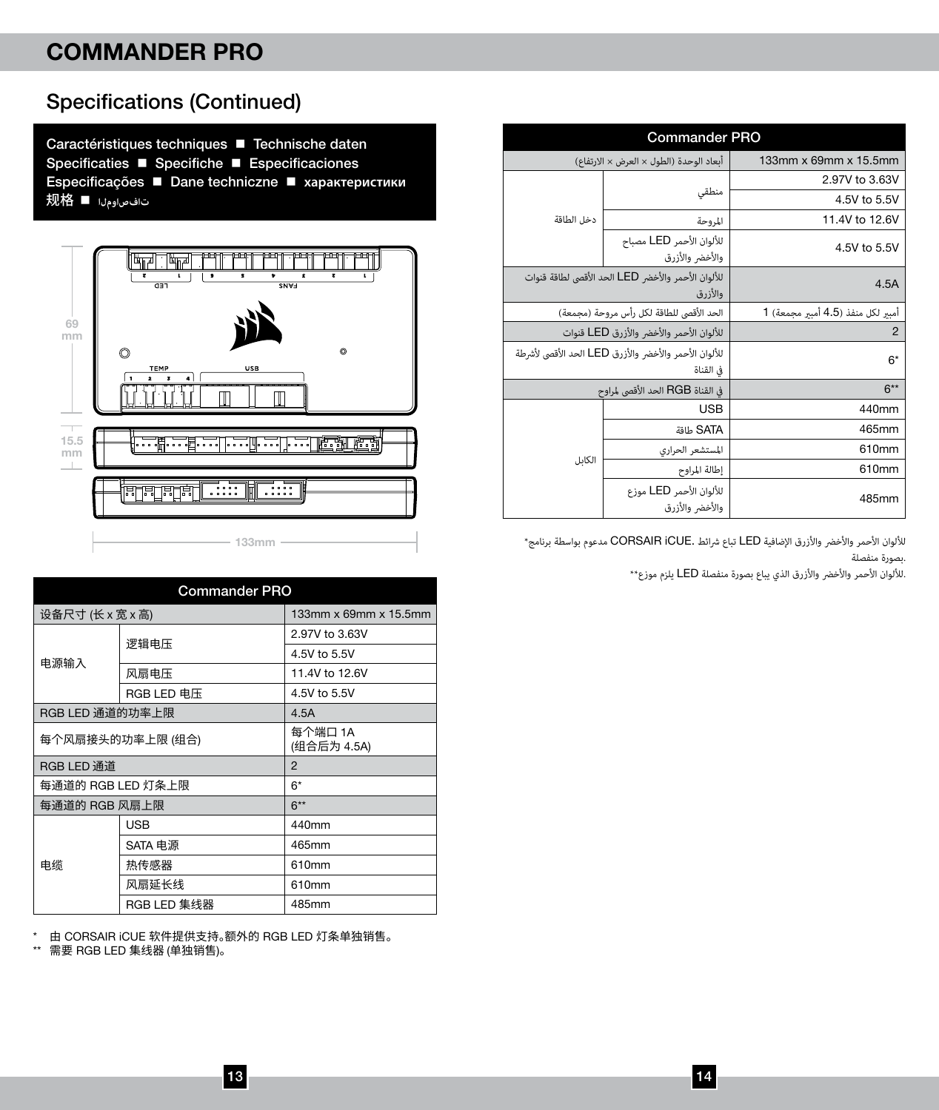Specifications (Continued)

| <b>Commander PRO</b>                                               |                                                              |                                  |
|--------------------------------------------------------------------|--------------------------------------------------------------|----------------------------------|
|                                                                    | أبعاد الوحدة (الطول × العرض × الارتفاع)                      | 133mm x 69mm x 15.5mm            |
|                                                                    |                                                              | 2.97V to 3.63V                   |
|                                                                    | منطقى                                                        | 4.5V to 5.5V                     |
| دخل الطاقة                                                         | المروحة                                                      | 11.4V to 12.6V                   |
|                                                                    | للألوان الأحمر LED مصباح<br>والأخض والأزرق                   | 4.5V to 5.5V                     |
|                                                                    | للألوان الأحمر والأخض LED الحد الأقصى لطاقة قنوات<br>والأزرق | 4.5A                             |
|                                                                    | الحد الأقصى للطاقة لكل رأس مروحة (مجمعة)                     | أمبر لكل منفذ (4.5 أمبر مجمعة) 1 |
| للألوان الأحمر والأخض والأزرق LED قنوات                            |                                                              | $\overline{2}$                   |
| للألوان الأحمر والأخضر والأزرق LED الحد الأقصى لأشرطة<br>فى القناة |                                                              | 6*                               |
|                                                                    | في القناة RGB الحد الأقصى لمراوح                             | $6**$                            |
|                                                                    | <b>USB</b>                                                   | 440mm                            |
|                                                                    | aalb SATA                                                    | 465mm                            |
| الكابل                                                             | المستشعر الحرارى                                             | 610mm                            |
|                                                                    | إطالة المراوح                                                | 610mm                            |
|                                                                    | للألوان الأحمر LED موزع<br>والأخض والأزرق                    | 485mm                            |

الألوان الأحمر والأخضر والأزرق الإضافية LED تباع شرائط .CORSAIR iCUE مدعوم بواسطة برنامج\* .بصورة منفصلة

.لأللوان األحمر واألخرض واألزرق الذي يباع بصورة منفصلة LED يلزم موزع\*\*

| Caractéristiques techniques ■ Technische daten<br>Specificaties ■ Specifiche ■ Especificaciones<br>Especificações ■ Dane techniczne ■ характеристики<br>تاف صاومل ا ■ 规格 |
|--------------------------------------------------------------------------------------------------------------------------------------------------------------------------|
|                                                                                                                                                                          |



| <b>Commander PRO</b> |             |                        |
|----------------------|-------------|------------------------|
| 设备尺寸 (长 x 宽 x 高)     |             | 133mm x 69mm x 15.5mm  |
|                      | 逻辑电压        | 2.97V to 3.63V         |
| 电源输入                 |             | 4.5V to 5.5V           |
|                      | 风扇电压        | 11.4V to 12.6V         |
|                      | RGB LED 电压  | 4.5V to 5.5V           |
| RGB LED 通道的功率上限      |             | 4.5A                   |
| 每个风扇接头的功率上限 (组合)     |             | 每个端口 1A<br>(组合后为 4.5A) |
| RGB LED 通道           |             | $\mathfrak{p}$         |
| 每通道的 RGB LED 灯条上限    |             | $6*$                   |
| 每通道的 RGB 风扇上限        |             | $6**$                  |
|                      | <b>USB</b>  | 440mm                  |
| 申继                   | SATA 电源     | 465mm                  |
|                      | 热传感器        | 610mm                  |
|                      | 风扇延长线       | 610mm                  |
|                      | RGB LED 集线器 | 485mm                  |

\* 由 CORSAIR iCUE 软件提供支持。额外的 RGB LED 灯条单独销售。

\*\* 需要 RGB LED 集线器 (单独销售)。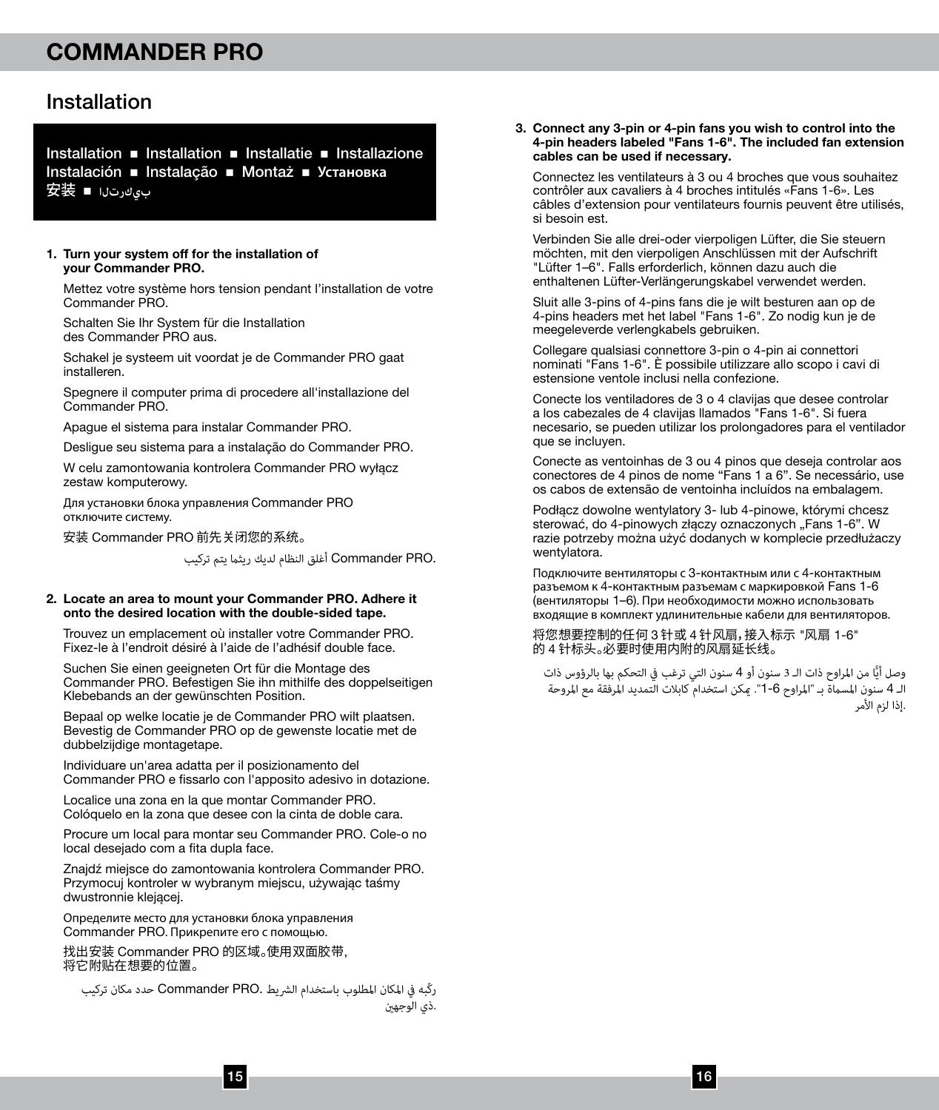### Installation

Installation  $\blacksquare$  Installation  $\blacksquare$  Installazione Installazione Instalación n Instalação n Montaż n **Установка** 安装 <sup>n</sup> **بيكرتلا**

#### 1. Turn your system off for the installation of your Commander PRO.

Mettez votre système hors tension pendant l'installation de votre Commander PRO.

Schalten Sie Ihr System für die Installation des Commander PRO aus.

Schakel je systeem uit voordat je de Commander PRO gaat installeren.

Spegnere il computer prima di procedere all'installazione del Commander PRO.

Apague el sistema para instalar Commander PRO.

Desligue seu sistema para a instalação do Commander PRO.

W celu zamontowania kontrolera Commander PRO wyłącz zestaw komputerowy.

Для установки блока управления Commander PRO отключите систему.

安装 Commander PRO 前先关闭您的系统。

.Commander PRO أغلق النظام لديك ريثما يتم تركيب

#### 2. Locate an area to mount your Commander PRO. Adhere it onto the desired location with the double-sided tape.

Trouvez un emplacement où installer votre Commander PRO. Fixez-le à l'endroit désiré à l'aide de l'adhésif double face.

Suchen Sie einen geeigneten Ort für die Montage des Commander PRO. Befestigen Sie ihn mithilfe des doppelseitigen Klebebands an der gewünschten Position.

Bepaal op welke locatie je de Commander PRO wilt plaatsen. Bevestig de Commander PRO op de gewenste locatie met de dubbelzijdige montagetape.

Individuare un'area adatta per il posizionamento del Commander PRO e fissarlo con l'apposito adesivo in dotazione.

Localice una zona en la que montar Commander PRO. Colóquelo en la zona que desee con la cinta de doble cara.

Procure um local para montar seu Commander PRO. Cole-o no local desejado com a fita dupla face.

Znajdź miejsce do zamontowania kontrolera Commander PRO. Przymocuj kontroler w wybranym miejscu, używając taśmy dwustronnie klejącej.

Определите место для установки блока управления Commander PRO. Прикрепите его с помощью.

找出安装 Commander PRO 的区域。使用双面胶带, 将它附贴在想要的位置。

ركّبه يف املكان املطلوب باستخدام الرشيط .PRO Commander حدد مكان تركيب .ذي الوجهني

#### 3. Connect any 3-pin or 4-pin fans you wish to control into the 4-pin headers labeled "Fans 1-6". The included fan extension cables can be used if necessary.

Connectez les ventilateurs à 3 ou 4 broches que vous souhaitez contrôler aux cavaliers à 4 broches intitulés «Fans 1-6». Les câbles d'extension pour ventilateurs fournis peuvent être utilisés, si besoin est.

Verbinden Sie alle drei-oder vierpoligen Lüfter, die Sie steuern möchten, mit den vierpoligen Anschlüssen mit der Aufschrift "Lüfter 1–6". Falls erforderlich, können dazu auch die enthaltenen Lüfter-Verlängerungskabel verwendet werden.

Sluit alle 3-pins of 4-pins fans die je wilt besturen aan op de 4-pins headers met het label "Fans 1-6". Zo nodig kun je de meegeleverde verlengkabels gebruiken.

Collegare qualsiasi connettore 3-pin o 4-pin ai connettori nominati "Fans 1-6". È possibile utilizzare allo scopo i cavi di estensione ventole inclusi nella confezione.

Conecte los ventiladores de 3 o 4 clavijas que desee controlar a los cabezales de 4 clavijas llamados "Fans 1-6". Si fuera necesario, se pueden utilizar los prolongadores para el ventilador que se incluyen.

Conecte as ventoinhas de 3 ou 4 pinos que deseja controlar aos conectores de 4 pinos de nome "Fans 1 a 6". Se necessário, use os cabos de extensão de ventoinha incluídos na embalagem.

Podłącz dowolne wentylatory 3- lub 4-pinowe, którymi chcesz sterować, do 4-pinowych złączy oznaczonych "Fans 1-6". W razie potrzeby można użyć dodanych w komplecie przedłużaczy wentylatora.

Подключите вентиляторы с 3-контактным или с 4-контактным разъемом к 4-контактным разъемам с маркировкой Fans 1-6 (вентиляторы 1–6). При необходимости можно использовать входящие в комплект удлинительные кабели для вентиляторов.

将您想要控制的任何 3 针或 4 针风扇,接入标示 "风扇 1-6" 的 4 针标头。必要时使用内附的风扇延长线。

وصل أيًّا من المراوح ذات الـ 3 سنون أو 4 سنون التي ترغب في التحكم بها بالرؤوس ذات<br>. الـ 4 سنون المسماة بـ "المراوح 6-1". مكن استخدام كابلات التمديد المرفقة مع المروحة<br>.إذا لزم الأمر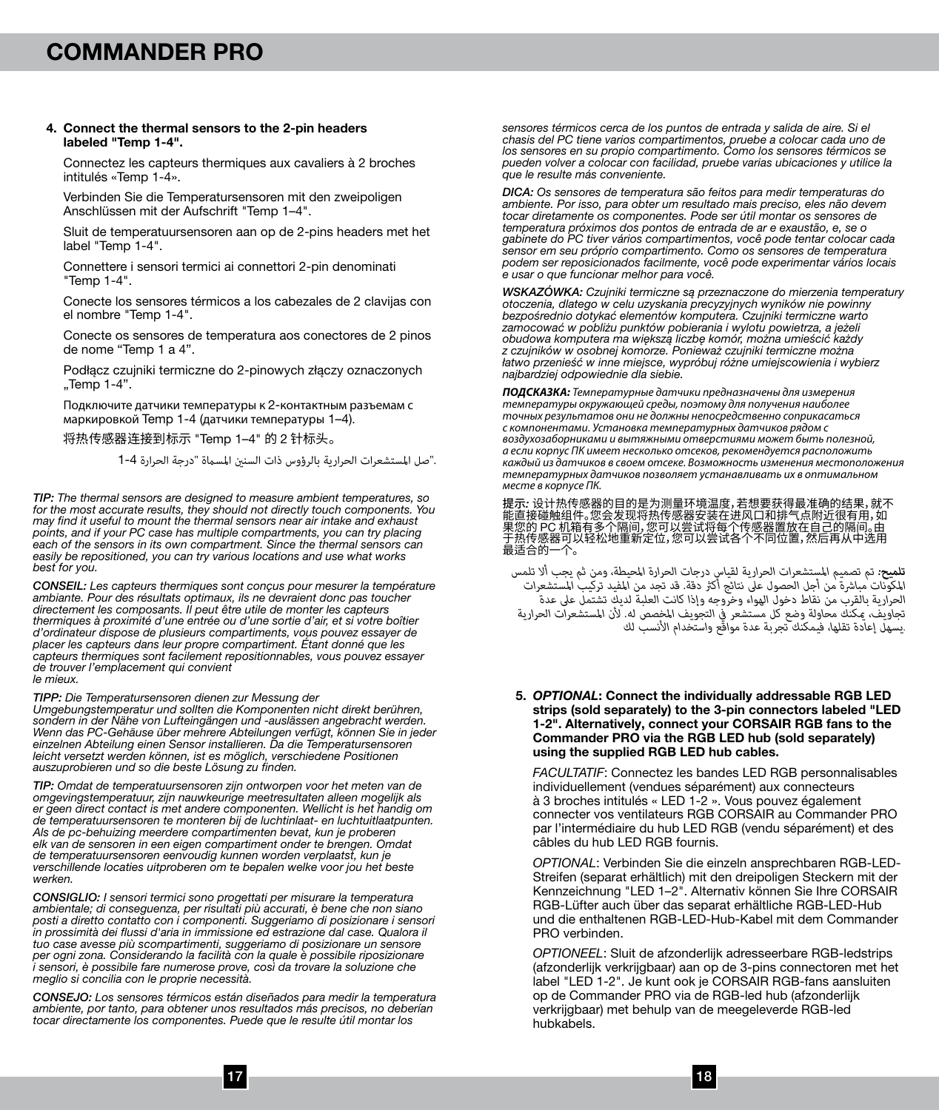#### 4. Connect the thermal sensors to the 2-pin headers labeled "Temp 1-4".

Connectez les capteurs thermiques aux cavaliers à 2 broches intitulés «Temp 1-4».

Verbinden Sie die Temperatursensoren mit den zweipoligen Anschlüssen mit der Aufschrift "Temp 1–4".

Sluit de temperatuursensoren aan op de 2-pins headers met het label "Temp 1-4".

Connettere i sensori termici ai connettori 2-pin denominati "Temp 1-4".

Conecte los sensores térmicos a los cabezales de 2 clavijas con el nombre "Temp 1-4".

Conecte os sensores de temperatura aos conectores de 2 pinos de nome "Temp 1 a 4".

Podłącz czujniki termiczne do 2-pinowych złączy oznaczonych "Temp 1-4".

Подключите датчики температуры к 2-контактным разъемам с маркировкой Temp 1-4 (датчики температуры 1–4).

将热传感器连接到标示 "Temp 1–4" 的 2 针标头。

."صل املستشعرات الحرارية بالرؤوس ذات السنني املسامة "درجة الحرارة 1-4

*TIP: The thermal sensors are designed to measure ambient temperatures, so for the most accurate results, they should not directly touch components. You may find it useful to mount the thermal sensors near air intake and exhaust points, and if your PC case has multiple compartments, you can try placing each of the sensors in its own compartment. Since the thermal sensors can easily be repositioned, you can try various locations and use what works best for you.*

*CONSEIL: Les capteurs thermiques sont conçus pour mesurer la température*  ambiante. Pour des résultats optimaux, ils ne devraient donc pas toucher *directement les composants. Il peut être utile de monter les capteurs thermiques à proximité d'une entrée ou d'une sortie d'air, et si votre boîtier d'ordinateur dispose de plusieurs compartiments, vous pouvez essayer de placer les capteurs dans leur propre compartiment. Étant donné que les capteurs thermiques sont facilement repositionnables, vous pouvez essayer de trouver l'emplacement qui convient le mieux.*

*TIPP: Die Temperatursensoren dienen zur Messung der* 

*Umgebungstemperatur und sollten die Komponenten nicht direkt berühren, sondern in der Nähe von Lufteingängen und -auslässen angebracht werden. Wenn das PC-Gehäuse über mehrere Abteilungen verfügt, können Sie in jeder einzelnen Abteilung einen Sensor installieren. Da die Temperatursensoren leicht versetzt werden können, ist es möglich, verschiedene Positionen auszuprobieren und so die beste Lösung zu finden.*

*TIP: Omdat de temperatuursensoren zijn ontworpen voor het meten van de omgevingstemperatuur, zijn nauwkeurige meetresultaten alleen mogelijk als er geen direct contact is met andere componenten. Wellicht is het handig om de temperatuursensoren te monteren bij de luchtinlaat- en luchtuitlaatpunten. Als de pc-behuizing meerdere compartimenten bevat, kun je proberen elk van de sensoren in een eigen compartiment onder te brengen. Omdat de temperatuursensoren eenvoudig kunnen worden verplaatst, kun je verschillende locaties uitproberen om te bepalen welke voor jou het beste werken.*

*CONSIGLIO: I sensori termici sono progettati per misurare la temperatura ambientale; di conseguenza, per risultati più accurati, è bene che non siano posti a diretto contatto con i componenti. Suggeriamo di posizionare i sensori in prossimità dei flussi d'aria in immissione ed estrazione dal case. Qualora il tuo case avesse più scompartimenti, suggeriamo di posizionare un sensore per ogni zona. Considerando la facilità con la quale è possibile riposizionare i sensori, è possibile fare numerose prove, così da trovare la soluzione che meglio si concilia con le proprie necessità.*

*CONSEJO: Los sensores térmicos están diseñados para medir la temperatura ambiente, por tanto, para obtener unos resultados más precisos, no deberían tocar directamente los componentes. Puede que le resulte útil montar los* 

*sensores térmicos cerca de los puntos de entrada y salida de aire. Si el chasis del PC tiene varios compartimentos, pruebe a colocar cada uno de los sensores en su propio compartimento. Como los sensores térmicos se pueden volver a colocar con facilidad, pruebe varias ubicaciones y utilice la que le resulte más conveniente.*

*DICA: Os sensores de temperatura são feitos para medir temperaturas do ambiente. Por isso, para obter um resultado mais preciso, eles não devem tocar diretamente os componentes. Pode ser útil montar os sensores de temperatura próximos dos pontos de entrada de ar e exaustão, e, se o gabinete do PC tiver vários compartimentos, você pode tentar colocar cada sensor em seu próprio compartimento. Como os sensores de temperatura podem ser reposicionados facilmente, você pode experimentar vários locais e usar o que funcionar melhor para você.*

WSKAZOWKA: Czujniki termiczne są przeznaczone do mierzenia temperatury<br>otoczenia, dlatego w celu uzyskania precyzyjnych wyników nie powinny<br>bezpośrednio dotykać elementów komputera. Czujniki termiczne warto *zamocować w pobliżu punktów pobierania i wylotu powietrza, a jeżeli obudowa komputera ma większą liczbę komór, można umieścić każdy z czujników w osobnej komorze. Ponieważ czujniki termiczne można łatwo przenieść w inne miejsce, wypróbuj różne umiejscowienia i wybierz najbardziej odpowiednie dla siebie.*

*ПОДСКАЗКА: Температурные датчики предназначены для измерения температуры окружающей среды, поэтому для получения наиболее точных результатов они не должны непосредственно соприкасаться с компонентами. Установка температурных датчиков рядом с воздухозаборниками и вытяжными отверстиями может быть полезной, а если корпус ПК имеет несколько отсеков, рекомендуется расположить каждый из датчиков в своем отсеке. Возможность изменения местоположения температурных датчиков позволяет устанавливать их в оптимальном месте в корпусе ПК.*

提示: 设计热传感器的目的是为测量环境温度,否想要获得最准确的结果,就不<br>能直接碰触组件。您会发现将热传感器安装在进风口和排气点附近很有用,如<br>果您的 PC 机箱有多个隔间,您可以尝试各个不同位置,然后再从中选用<br>最适合的一个。

<mark>تلميح:</mark> تم تصميم المستشعرات الحرارية لقياس درجات الحرارة المحيطة، ومن ثم يجب ألا تلمس<br>المكونات مباشرة من أجل الحصول على نتائج أكثر دقة. قد تجد من المفيد تركيب المستشعرات *الحرارية بالقرب من نقاط دخول الهواء وخروجه وإذا كانت العلبة لديك تشتمل عىل عدة* .<br>تجاويف، مكنك محاولة وضع كل مستشعر في التجويف المخصص له. لأن المستشعرات الحرارية<br>.يسهل إعادة تقلها، فيمكنك تجربة عدة مواقع واستخدام الأنسب لك

5. *OPTIONAL*: Connect the individually addressable RGB LED strips (sold separately) to the 3-pin connectors labeled "LED 1-2". Alternatively, connect your CORSAIR RGB fans to the Commander PRO via the RGB LED hub (sold separately) using the supplied RGB LED hub cables.

*FACULTATIF*: Connectez les bandes LED RGB personnalisables individuellement (vendues séparément) aux connecteurs à 3 broches intitulés « LED 1-2 ». Vous pouvez également connecter vos ventilateurs RGB CORSAIR au Commander PRO par l'intermédiaire du hub LED RGB (vendu séparément) et des câbles du hub LED RGB fournis.

*OPTIONAL*: Verbinden Sie die einzeln ansprechbaren RGB-LED-Streifen (separat erhältlich) mit den dreipoligen Steckern mit der Kennzeichnung "LED 1–2". Alternativ können Sie Ihre CORSAIR RGB-Lüfter auch über das separat erhältliche RGB-LED-Hub und die enthaltenen RGB-LED-Hub-Kabel mit dem Commander PRO verbinden.

*OPTIONEEL*: Sluit de afzonderlijk adresseerbare RGB-ledstrips (afzonderlijk verkrijgbaar) aan op de 3-pins connectoren met het label "LED 1-2". Je kunt ook je CORSAIR RGB-fans aansluiten op de Commander PRO via de RGB-led hub (afzonderlijk verkrijgbaar) met behulp van de meegeleverde RGB-led hubkabels.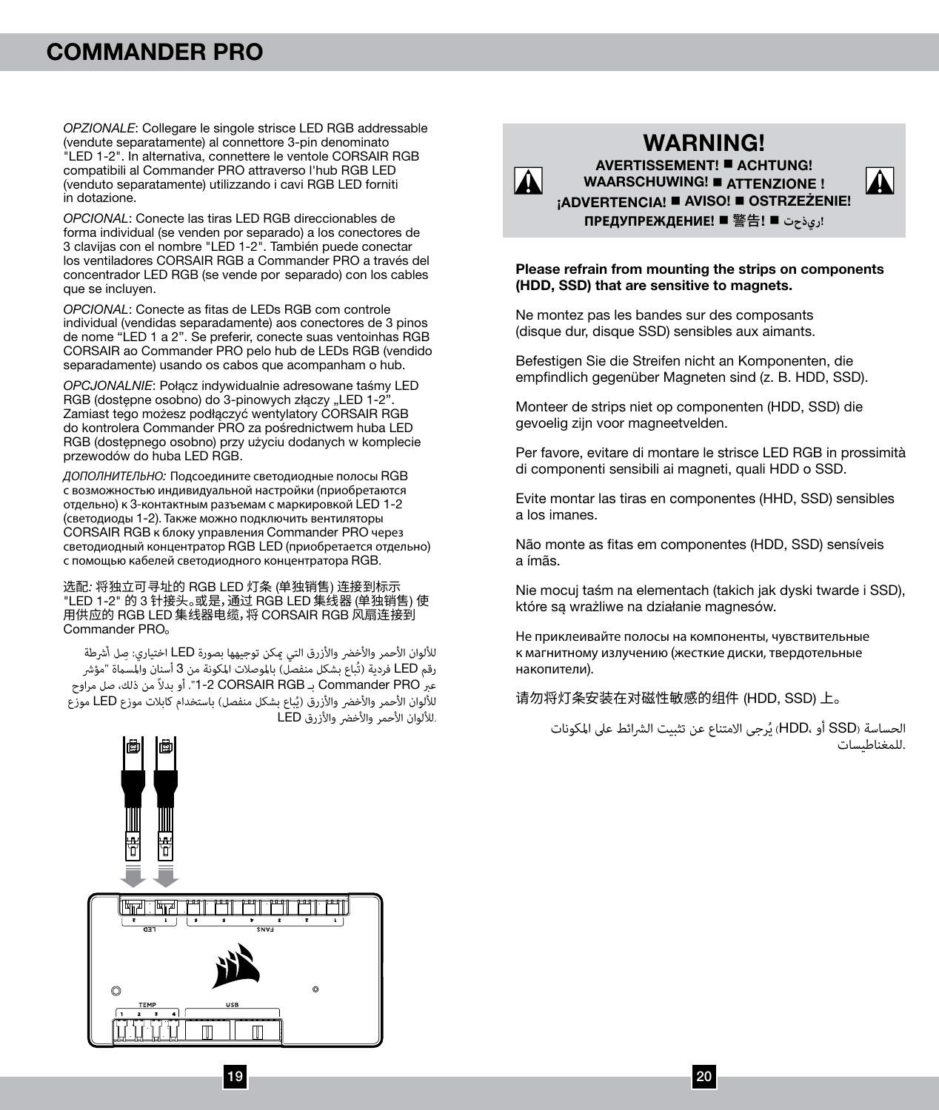*OPZIONALE*: Collegare le singole strisce LED RGB addressable (vendute separatamente) al connettore 3-pin denominato "LED 1-2". In alternativa, connettere le ventole CORSAIR RGB compatibili al Commander PRO attraverso l'hub RGB LED (venduto separatamente) utilizzando i cavi RGB LED forniti in dotazione.

*OPCIONAL*: Conecte las tiras LED RGB direccionables de forma individual (se venden por separado) a los conectores de 3 clavijas con el nombre "LED 1-2". También puede conectar los ventiladores CORSAIR RGB a Commander PRO a través del concentrador LED RGB (se vende por separado) con los cables que se incluyen.

*OPCIONAL*: Conecte as fitas de LEDs RGB com controle individual (vendidas separadamente) aos conectores de 3 pinos de nome "LED 1 a 2". Se preferir, conecte suas ventoinhas RGB CORSAIR ao Commander PRO pelo hub de LEDs RGB (vendido separadamente) usando os cabos que acompanham o hub.

*OPCJONALNIE*: Połącz indywidualnie adresowane taśmy LED RGB (dostępne osobno) do 3-pinowych złączy "LED 1-2" Zamiast tego możesz podłączyć wentylatory CORSAIR RGB do kontrolera Commander PRO za pośrednictwem huba LED RGB (dostępnego osobno) przy użyciu dodanych w komplecie przewodów do huba LED RGB.

*ДОПОЛНИТЕЛЬНО:* Подсоедините светодиодные полосы RGB с возможностью индивидуальной настройки (приобретаются отдельно) к 3-контактным разъемам с маркировкой LED 1-2 (светодиоды 1-2). Также можно подключить вентиляторы CORSAIR RGB к блоку управления Commander PRO через светодиодный концентратор RGB LED (приобретается отдельно) с помощью кабелей светодиодного концентратора RGB.

选配*:* 将独立可寻址的 RGB LED 灯条 (单独销售) 连接到标示 "LED 1-2" 的 3 针接头。或是,通过 RGB LED 集线器 (单独销售) 使 用供应的 RGB LED 集线器电缆,将 CORSAIR RGB 风扇连接到 Commander PRO。

لأللوان األحمر واألخرض واألزرق التي ميكن توجيهها بصورة LED اختياري: *ِ صل أرشطة* رقم LED فردية (تُباع بشكل منفصّل) بالموصلات المكونة من 3 أسنان والمسماة "مؤشر عرب PRO Commander بـ RGB CORSAIR 1-2". أو بدالً من ذلك، صل مراوح للألوان الأحمر والأخضر والأزرق (يُباع بشكل منفصل) باستخدام كابلات موزع LED موزع .لأللوان األحمر واألخرض واألزرق LED



WARNING! AVERTISSEMENT! A CHTUNG! WAARSCHUWING! ATTENZIONE! **¡ADVERTENCIA! ■ AVISO! ■ OSTRZEŻENIE! ПРЕДУПРЕЖДЕНИЕ**! n 警告! n **ريذحت!**

#### Please refrain from mounting the strips on components (HDD, SSD) that are sensitive to magnets.

Ne montez pas les bandes sur des composants (disque dur, disque SSD) sensibles aux aimants.

Befestigen Sie die Streifen nicht an Komponenten, die empfindlich gegenüber Magneten sind (z. B. HDD, SSD).

Monteer de strips niet op componenten (HDD, SSD) die gevoelig zijn voor magneetvelden.

Per favore, evitare di montare le strisce LED RGB in prossimità di componenti sensibili ai magneti, quali HDD o SSD.

Evite montar las tiras en componentes (HHD, SSD) sensibles a los imanes.

Não monte as fitas em componentes (HDD, SSD) sensíveis a ímãs.

Nie mocuj taśm na elementach (takich jak dyski twarde i SSD), które są wrażliwe na działanie magnesów.

Не приклеивайте полосы на компоненты, чувствительные к магнитному излучению (жесткие диски, твердотельные накопители).

请勿将灯条安装在对磁性敏感的组件 (HDD, SSD) 上。

الحساسة (SSD أو HDD) يُرجى الامتناع عن تثبيت الشرائط على المكونات<br>.للمغناطيسات

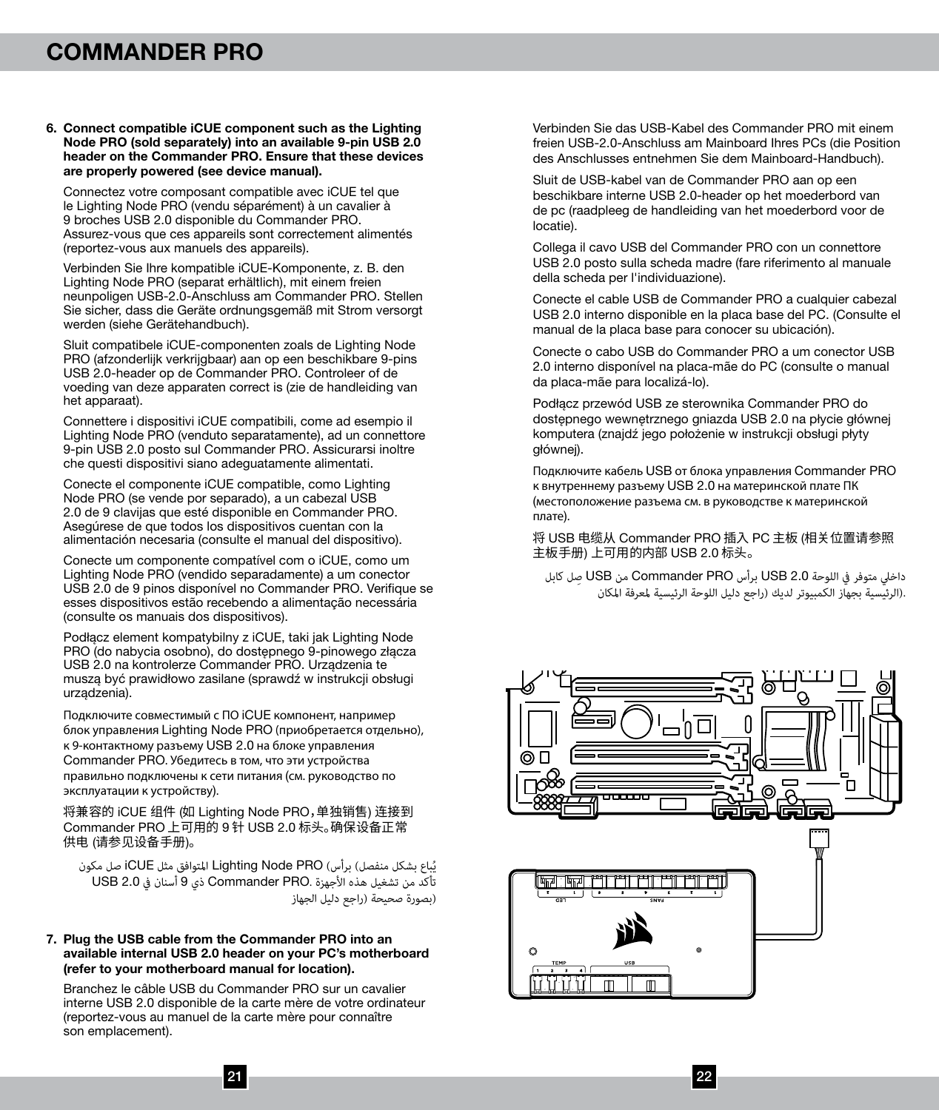#### 6. Connect compatible iCUE component such as the Lighting Node PRO (sold separately) into an available 9-pin USB 2.0 header on the Commander PRO. Ensure that these devices are properly powered (see device manual).

Connectez votre composant compatible avec iCUE tel que le Lighting Node PRO (vendu séparément) à un cavalier à 9 broches USB 2.0 disponible du Commander PRO. Assurez-vous que ces appareils sont correctement alimentés (reportez-vous aux manuels des appareils).

Verbinden Sie Ihre kompatible iCUE-Komponente, z. B. den Lighting Node PRO (separat erhältlich), mit einem freien neunpoligen USB-2.0-Anschluss am Commander PRO. Stellen Sie sicher, dass die Geräte ordnungsgemäß mit Strom versorgt werden (siehe Gerätehandbuch).

Sluit compatibele iCUE-componenten zoals de Lighting Node PRO (afzonderlijk verkrijgbaar) aan op een beschikbare 9-pins USB 2.0-header op de Commander PRO. Controleer of de voeding van deze apparaten correct is (zie de handleiding van het apparaat).

Connettere i dispositivi iCUE compatibili, come ad esempio il Lighting Node PRO (venduto separatamente), ad un connettore 9-pin USB 2.0 posto sul Commander PRO. Assicurarsi inoltre che questi dispositivi siano adeguatamente alimentati.

Conecte el componente iCUE compatible, como Lighting Node PRO (se vende por separado), a un cabezal USB 2.0 de 9 clavijas que esté disponible en Commander PRO. Asegúrese de que todos los dispositivos cuentan con la alimentación necesaria (consulte el manual del dispositivo).

Conecte um componente compatível com o iCUE, como um Lighting Node PRO (vendido separadamente) a um conector USB 2.0 de 9 pinos disponível no Commander PRO. Verifique se esses dispositivos estão recebendo a alimentação necessária (consulte os manuais dos dispositivos).

Podłącz element kompatybilny z iCUE, taki jak Lighting Node PRO (do nabycia osobno), do dostępnego 9-pinowego złącza USB 2.0 na kontrolerze Commander PRO. Urządzenia te muszą być prawidłowo zasilane (sprawdź w instrukcji obsługi urządzenia).

Подключите совместимый с ПО iCUE компонент, например блок управления Lighting Node PRO (приобретается отдельно), к 9-контактному разъему USB 2.0 на блоке управления Commander PRO. Убедитесь в том, что эти устройства правильно подключены к сети питания (см. руководство по эксплуатации к устройству).

将兼容的 iCUE 组件 (如 Lighting Node PRO,单独销售) 连接到 Commander PRO 上可用的 9 针 USB 2.0 标头。确保设备正常 供电 (请参见设备手册)。

يُباع بشكل منفصل) برأس) Lighting Node PRO المتوافق مثل iCUE صل مكون<br>. تأكد من تشغيل هذه الأجهزة .Commander PRO ذي 9 أسنان في USB 2.0 (بصورة صحيحة )راجع دليل الجهاز

#### 7. Plug the USB cable from the Commander PRO into an available internal USB 2.0 header on your PC's motherboard (refer to your motherboard manual for location).

Branchez le câble USB du Commander PRO sur un cavalier interne USB 2.0 disponible de la carte mère de votre ordinateur (reportez-vous au manuel de la carte mère pour connaître son emplacement).

Verbinden Sie das USB-Kabel des Commander PRO mit einem freien USB-2.0-Anschluss am Mainboard Ihres PCs (die Position des Anschlusses entnehmen Sie dem Mainboard-Handbuch).

Sluit de USB-kabel van de Commander PRO aan op een beschikbare interne USB 2.0-header op het moederbord van de pc (raadpleeg de handleiding van het moederbord voor de locatie).

Collega il cavo USB del Commander PRO con un connettore USB 2.0 posto sulla scheda madre (fare riferimento al manuale della scheda per l'individuazione).

Conecte el cable USB de Commander PRO a cualquier cabezal USB 2.0 interno disponible en la placa base del PC. (Consulte el manual de la placa base para conocer su ubicación).

Conecte o cabo USB do Commander PRO a um conector USB 2.0 interno disponível na placa-mãe do PC (consulte o manual da placa-mãe para localizá-lo).

Podłącz przewód USB ze sterownika Commander PRO do dostępnego wewnętrznego gniazda USB 2.0 na płycie głównej komputera (znajdź jego położenie w instrukcji obsługi płyty głównej).

Подключите кабель USB от блока управления Commander PRO к внутреннему разъему USB 2.0 на материнской плате ПК (местоположение разъема см. в руководстве к материнской плате).

将 USB 电缆从 Commander PRO 插入 PC 主板 (相关位置请参照 主板手册) 上可用的内部 USB 2.0 标头。

داخيل متوفر يف اللوحة 2.0 USB برأس PRO Commander من USB ِصل كابل .(الرئيسية بجهاز الكمبيوتر لديك )راجع دليل اللوحة الرئيسية ملعرفة املكان

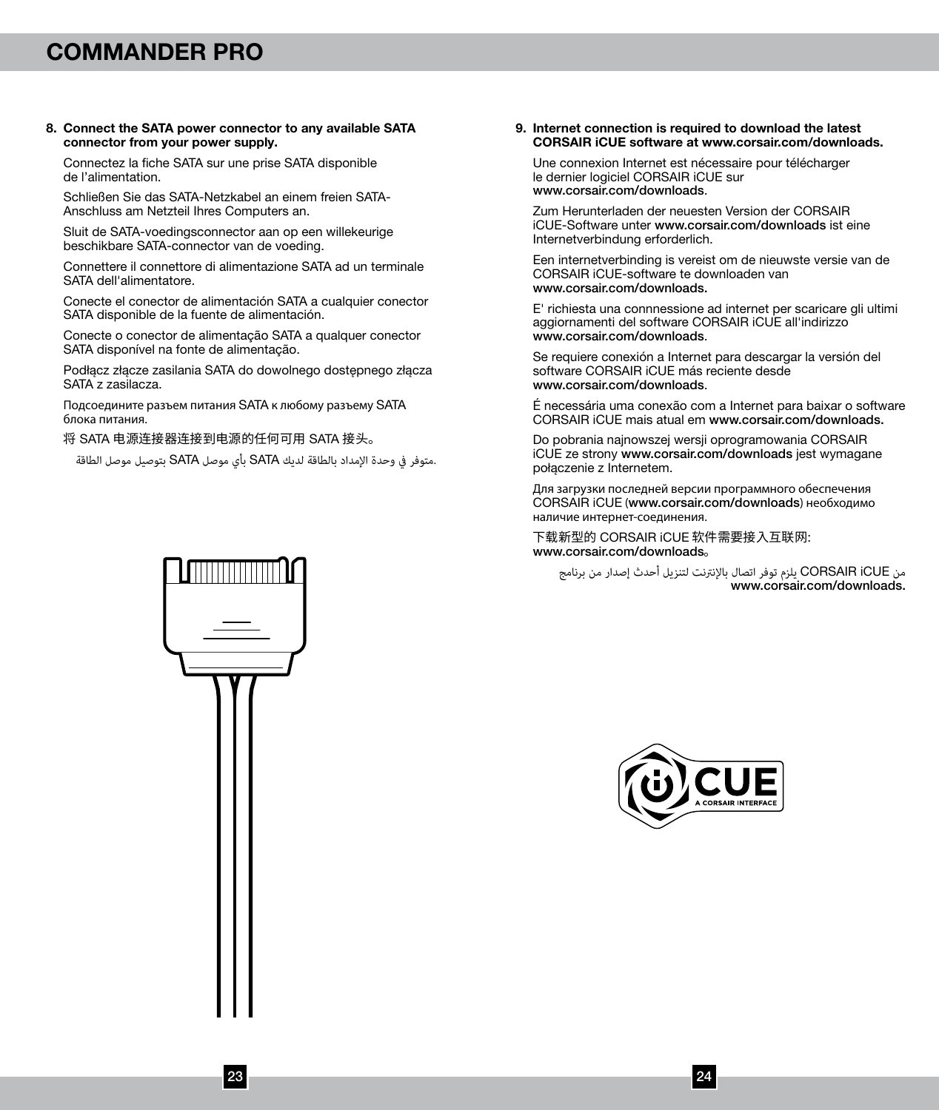#### 8. Connect the SATA power connector to any available SATA connector from your power supply.

Connectez la fiche SATA sur une prise SATA disponible de l'alimentation.

Schließen Sie das SATA-Netzkabel an einem freien SATA-Anschluss am Netzteil Ihres Computers an.

Sluit de SATA-voedingsconnector aan op een willekeurige beschikbare SATA-connector van de voeding.

Connettere il connettore di alimentazione SATA ad un terminale SATA dell'alimentatore.

Conecte el conector de alimentación SATA a cualquier conector SATA disponible de la fuente de alimentación.

Conecte o conector de alimentação SATA a qualquer conector SATA disponível na fonte de alimentação.

Podłącz złącze zasilania SATA do dowolnego dostępnego złącza SATA z zasilacza.

Подсоедините разъем питания SATA к любому разъему SATA блока питания.

将 SATA 电源连接器连接到电源的任何可用 SATA 接头。

.متوفر يف وحدة اإلمداد بالطاقة لديك SATA بأي موصل SATA بتوصيل موصل الطاقة

#### 9. Internet connection is required to download the latest CORSAIR iCUE software at www.corsair.com/downloads.

Une connexion Internet est nécessaire pour télécharger le dernier logiciel CORSAIR iCUE sur www.corsair.com/downloads.

Zum Herunterladen der neuesten Version der CORSAIR iCUE-Software unter www.corsair.com/downloads ist eine Internetverbindung erforderlich.

Een internetverbinding is vereist om de nieuwste versie van de CORSAIR iCUE-software te downloaden van www.corsair.com/downloads.

E' richiesta una connnessione ad internet per scaricare gli ultimi aggiornamenti del software CORSAIR iCUE all'indirizzo www.corsair.com/downloads.

Se requiere conexión a Internet para descargar la versión del software CORSAIR iCUE más reciente desde www.corsair.com/downloads.

É necessária uma conexão com a Internet para baixar o software CORSAIR iCUE mais atual em www.corsair.com/downloads.

Do pobrania najnowszej wersji oprogramowania CORSAIR iCUE ze strony www.corsair.com/downloads jest wymagane połączenie z Internetem.

Для загрузки последней версии программного обеспечения CORSAIR iCUE (www.corsair.com/downloads) необходимо наличие интернет-соединения.

下载新型的 CORSAIR iCUE 软件需要接入互联网: www.corsair.com/downloads。

من CORSAIR iCUE يلزم توفر اتصال بالإنترنت لتنزيل أحدث إصدار من برنامج<br>.www.corsair.com/downloads



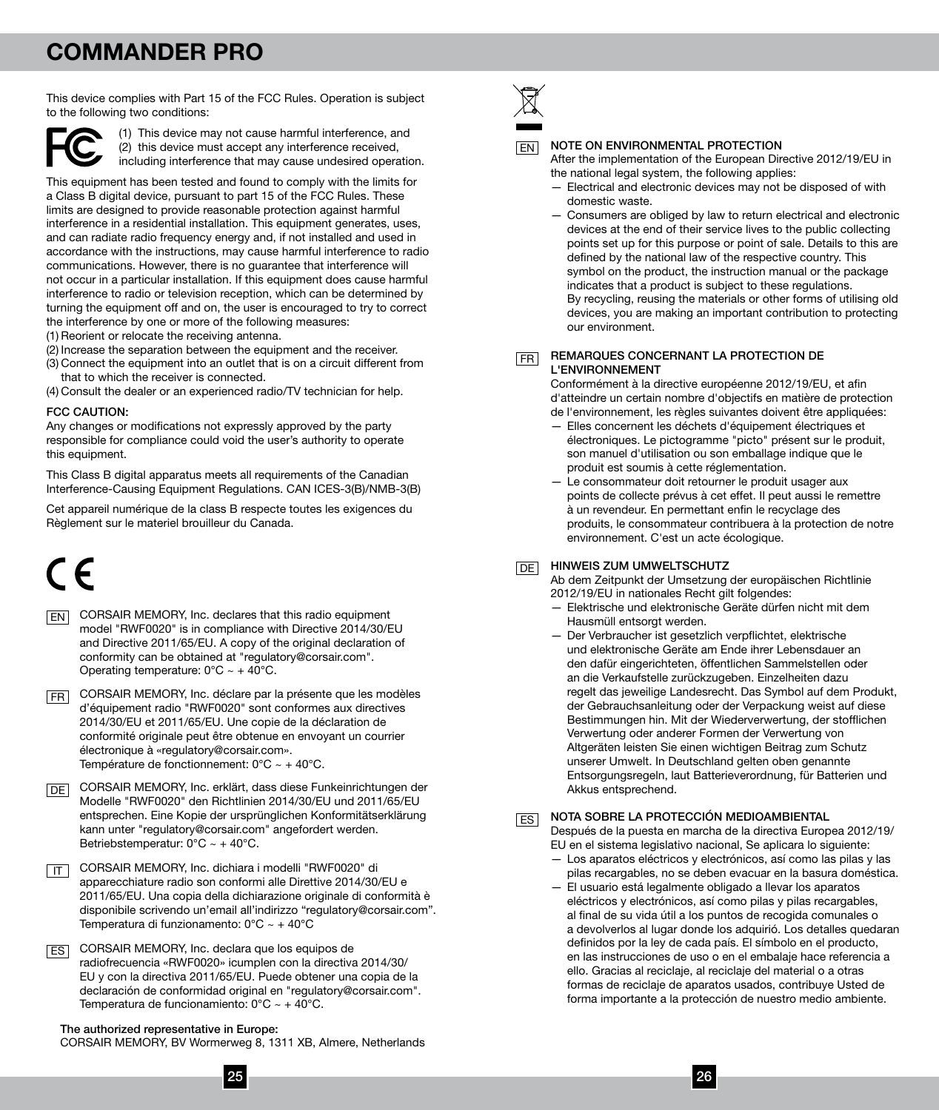This device complies with Part 15 of the FCC Rules. Operation is subject to the following two conditions:



(1) This device may not cause harmful interference, and (2) this device must accept any interference received, including interference that may cause undesired operation.

This equipment has been tested and found to comply with the limits for a Class B digital device, pursuant to part 15 of the FCC Rules. These limits are designed to provide reasonable protection against harmful interference in a residential installation. This equipment generates, uses, and can radiate radio frequency energy and, if not installed and used in accordance with the instructions, may cause harmful interference to radio communications. However, there is no guarantee that interference will not occur in a particular installation. If this equipment does cause harmful interference to radio or television reception, which can be determined by turning the equipment off and on, the user is encouraged to try to correct the interference by one or more of the following measures:

- (1) Reorient or relocate the receiving antenna.
- (2) Increase the separation between the equipment and the receiver.
- (3) Connect the equipment into an outlet that is on a circuit different from that to which the receiver is connected.

(4) Consult the dealer or an experienced radio/TV technician for help.

#### FCC CAUTION:

Any changes or modifications not expressly approved by the party responsible for compliance could void the user's authority to operate this equipment.

This Class B digital apparatus meets all requirements of the Canadian Interference-Causing Equipment Regulations. CAN ICES-3(B)/NMB-3(B)

Cet appareil numérique de la class B respecte toutes les exigences du Règlement sur le materiel brouilleur du Canada.

- **EN** CORSAIR MEMORY, Inc. declares that this radio equipment model "RWF0020" is in compliance with Directive 2014/30/EU and Directive 2011/65/EU. A copy of the original declaration of conformity can be obtained at "regulatory@corsair.com". Operating temperature:  $0^{\circ}$ C ~ + 40°C.
- FR] CORSAIR MEMORY, Inc. déclare par la présente que les modèles d'équipement radio "RWF0020" sont conformes aux directives 2014/30/EU et 2011/65/EU. Une copie de la déclaration de conformité originale peut être obtenue en envoyant un courrier électronique à «regulatory@corsair.com». Température de fonctionnement: 0°C ~ + 40°C.

DE CORSAIR MEMORY, Inc. erklärt, dass diese Funkeinrichtungen der Modelle "RWF0020" den Richtlinien 2014/30/EU und 2011/65/EU entsprechen. Eine Kopie der ursprünglichen Konformitätserklärung kann unter "regulatory@corsair.com" angefordert werden. Betriebstemperatur: 0°C ~ + 40°C.

TT CORSAIR MEMORY, Inc. dichiara i modelli "RWF0020" di apparecchiature radio son conformi alle Direttive 2014/30/EU e 2011/65/EU. Una copia della dichiarazione originale di conformità è disponibile scrivendo un'email all'indirizzo "regulatory@corsair.com". Temperatura di funzionamento: 0°C ~ + 40°C

CORSAIR MEMORY, Inc. declara que los equipos de ES radiofrecuencia «RWF0020» icumplen con la directiva 2014/30/ EU y con la directiva 2011/65/EU. Puede obtener una copia de la declaración de conformidad original en "regulatory@corsair.com". Temperatura de funcionamiento: 0°C ~ + 40°C.

The authorized representative in Europe: CORSAIR MEMORY, BV Wormerweg 8, 1311 XB, Almere, Netherlands



#### NOTE ON ENVIRONMENTAL PROTECTION

After the implementation of the European Directive 2012/19/EU in the national legal system, the following applies:

- Electrical and electronic devices may not be disposed of with domestic waste.
- Consumers are obliged by law to return electrical and electronic devices at the end of their service lives to the public collecting points set up for this purpose or point of sale. Details to this are defined by the national law of the respective country. This symbol on the product, the instruction manual or the package indicates that a product is subject to these regulations. By recycling, reusing the materials or other forms of utilising old devices, you are making an important contribution to protecting our environment.

FR

#### REMARQUES CONCERNANT LA PROTECTION DE L'ENVIRONNEMENT

Conformément à la directive européenne 2012/19/EU, et afin d'atteindre un certain nombre d'objectifs en matière de protection de l'environnement, les règles suivantes doivent être appliquées:

- Elles concernent les déchets d'équipement électriques et électroniques. Le pictogramme "picto" présent sur le produit, son manuel d'utilisation ou son emballage indique que le produit est soumis à cette réglementation.
- Le consommateur doit retourner le produit usager aux points de collecte prévus à cet effet. Il peut aussi le remettre à un revendeur. En permettant enfin le recyclage des produits, le consommateur contribuera à la protection de notre environnement. C'est un acte écologique.

#### **DE HINWEIS ZUM UMWELTSCHUTZ**

Ab dem Zeitpunkt der Umsetzung der europäischen Richtlinie 2012/19/EU in nationales Recht gilt folgendes:

- Elektrische und elektronische Geräte dürfen nicht mit dem Hausmüll entsorgt werden.
- Der Verbraucher ist gesetzlich verpflichtet, elektrische und elektronische Geräte am Ende ihrer Lebensdauer an den dafür eingerichteten, öffentlichen Sammelstellen oder an die Verkaufstelle zurückzugeben. Einzelheiten dazu regelt das jeweilige Landesrecht. Das Symbol auf dem Produkt, der Gebrauchsanleitung oder der Verpackung weist auf diese Bestimmungen hin. Mit der Wiederverwertung, der stofflichen Verwertung oder anderer Formen der Verwertung von Altgeräten leisten Sie einen wichtigen Beitrag zum Schutz unserer Umwelt. In Deutschland gelten oben genannte Entsorgungsregeln, laut Batterieverordnung, für Batterien und Akkus entsprechend.

#### NOTA SOBRE LA PROTECCIÓN MEDIOAMBIENTAL ES

Después de la puesta en marcha de la directiva Europea 2012/19/ EU en el sistema legislativo nacional, Se aplicara lo siguiente:

- Los aparatos eléctricos y electrónicos, así como las pilas y las pilas recargables, no se deben evacuar en la basura doméstica.
- El usuario está legalmente obligado a llevar los aparatos eléctricos y electrónicos, así como pilas y pilas recargables, al final de su vida útil a los puntos de recogida comunales o a devolverlos al lugar donde los adquirió. Los detalles quedaran definidos por la ley de cada país. El símbolo en el producto, en las instrucciones de uso o en el embalaje hace referencia a ello. Gracias al reciclaje, al reciclaje del material o a otras formas de reciclaje de aparatos usados, contribuye Usted de forma importante a la protección de nuestro medio ambiente.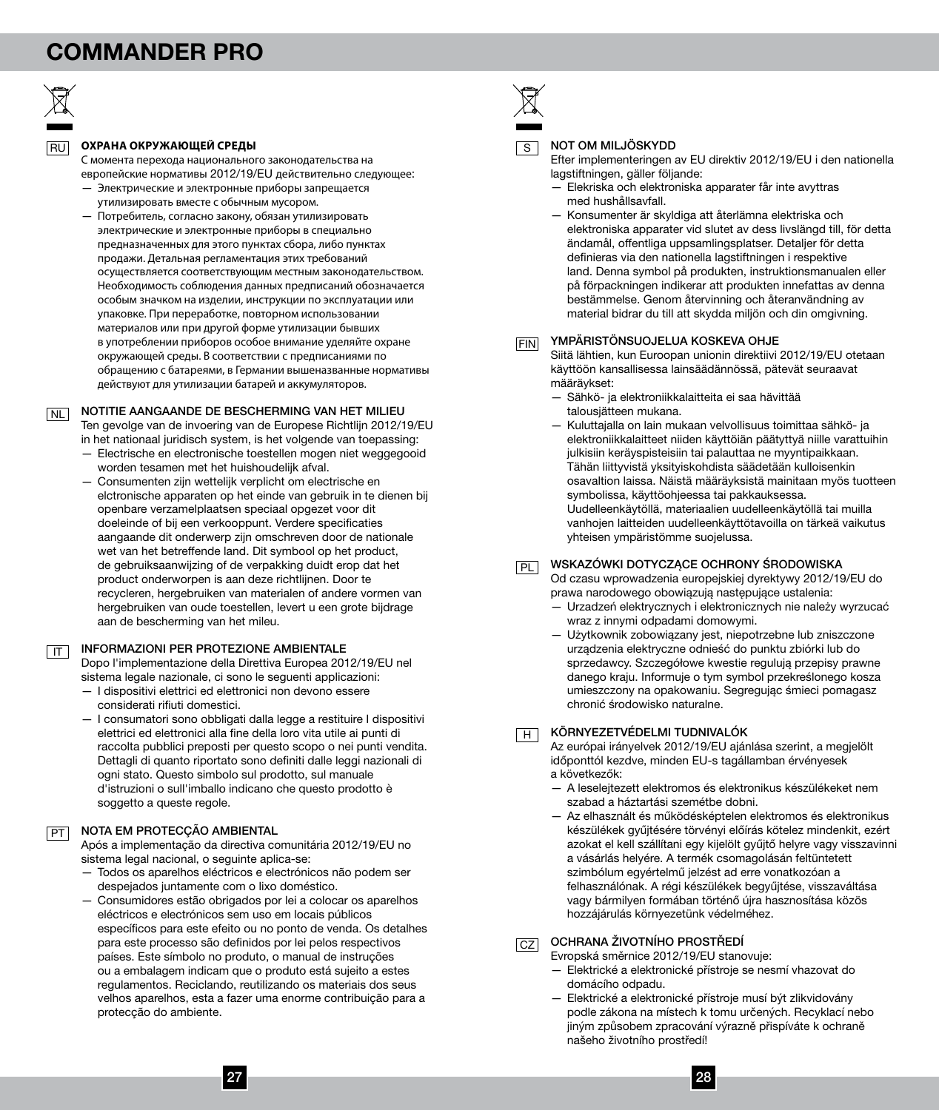

IT

#### **ОХРАНА ОКРУЖАЮЩЕЙ СРЕДЫ**

С момента перехода национального законодательства на европейские нормативы 2012/19/EU действительно следующее:

- Электрические и электронные приборы запрещается утилизировать вместе с обычным мусором.
- Потребитель, согласно закону, обязан утилизировать электрические и электронные приборы в специально предназначенных для этого пунктах сбора, либо пунктах продажи. Детальная регламентация этих требований осуществляется соответствующим местным законодательством. Необходимость соблюдения данных предписаний обозначается особым значком на изделии, инструкции по эксплуатации или упаковке. При переработке, повторном использовании материалов или при другой форме утилизации бывших в употреблении приборов особое внимание уделяйте охране окружающей среды. В соответствии с предписаниями по обращению с батареями, в Германии вышеназванные нормативы действуют для утилизации батарей и аккумуляторов.

NOTITIE AANGAANDE DE BESCHERMING VAN HET MILIEU NL

Ten gevolge van de invoering van de Europese Richtlijn 2012/19/EU in het nationaal juridisch system, is het volgende van toepassing:

- Electrische en electronische toestellen mogen niet weggegooid worden tesamen met het huishoudelijk afval.
- Consumenten zijn wettelijk verplicht om electrische en elctronische apparaten op het einde van gebruik in te dienen bij openbare verzamelplaatsen speciaal opgezet voor dit doeleinde of bij een verkooppunt. Verdere specificaties aangaande dit onderwerp zijn omschreven door de nationale wet van het betreffende land. Dit symbool op het product, de gebruiksaanwijzing of de verpakking duidt erop dat het product onderworpen is aan deze richtlijnen. Door te recycleren, hergebruiken van materialen of andere vormen van hergebruiken van oude toestellen, levert u een grote bijdrage aan de bescherming van het mileu.

#### INFORMAZIONI PER PROTEZIONE AMBIENTALE

Dopo l'implementazione della Direttiva Europea 2012/19/EU nel sistema legale nazionale, ci sono le seguenti applicazioni:

- I dispositivi elettrici ed elettronici non devono essere considerati rifiuti domestici.
- I consumatori sono obbligati dalla legge a restituire I dispositivi elettrici ed elettronici alla fine della loro vita utile ai punti di raccolta pubblici preposti per questo scopo o nei punti vendita. Dettagli di quanto riportato sono definiti dalle leggi nazionali di ogni stato. Questo simbolo sul prodotto, sul manuale d'istruzioni o sull'imballo indicano che questo prodotto è soggetto a queste regole.

#### PT NOTA EM PROTECÇÃO AMBIENTAL

Após a implementação da directiva comunitária 2012/19/EU no sistema legal nacional, o seguinte aplica-se:

- Todos os aparelhos eléctricos e electrónicos não podem ser despejados juntamente com o lixo doméstico.
- Consumidores estão obrigados por lei a colocar os aparelhos eléctricos e electrónicos sem uso em locais públicos específicos para este efeito ou no ponto de venda. Os detalhes para este processo são definidos por lei pelos respectivos países. Este símbolo no produto, o manual de instruções ou a embalagem indicam que o produto está sujeito a estes regulamentos. Reciclando, reutilizando os materiais dos seus velhos aparelhos, esta a fazer uma enorme contribuição para a protecção do ambiente.

#### NOT OM MILJÖSKYDD

Efter implementeringen av EU direktiv 2012/19/EU i den nationella lagstiftningen, gäller följande:

- Elekriska och elektroniska apparater får inte avyttras med hushållsavfall.
- Konsumenter är skyldiga att återlämna elektriska och elektroniska apparater vid slutet av dess livslängd till, för detta ändamål, offentliga uppsamlingsplatser. Detaljer för detta definieras via den nationella lagstiftningen i respektive land. Denna symbol på produkten, instruktionsmanualen eller på förpackningen indikerar att produkten innefattas av denna bestämmelse. Genom återvinning och återanvändning av material bidrar du till att skydda miljön och din omgivning.

#### $_{\sf FIN}$  YMPARISTONSUOJELUA KOSKEVA OHJE

Siitä lähtien, kun Euroopan unionin direktiivi 2012/19/EU otetaan käyttöön kansallisessa lainsäädännössä, pätevät seuraavat määräykset:

- Sähkö- ja elektroniikkalaitteita ei saa hävittää talousjätteen mukana.
- Kuluttajalla on lain mukaan velvollisuus toimittaa sähkö- ja elektroniikkalaitteet niiden käyttöiän päätyttyä niille varattuihin julkisiin keräyspisteisiin tai palauttaa ne myyntipaikkaan. Tähän liittyvistä yksityiskohdista säädetään kulloisenkin osavaltion laissa. Näistä määräyksistä mainitaan myös tuotteen symbolissa, käyttöohjeessa tai pakkauksessa. Uudelleenkäytöllä, materiaalien uudelleenkäytöllä tai muilla vanhojen laitteiden uudelleenkäyttötavoilla on tärkeä vaikutus yhteisen ympäristömme suojelussa.

 $_{\overline{\mathsf{PL}}}$  WSKAZOWKI DOTYCZĄCE OCHRONY SRODOWISKA

Od czasu wprowadzenia europejskiej dyrektywy 2012/19/EU do prawa narodowego obowiązują następujące ustalenia:

- Urzadzeń elektrycznych i elektronicznych nie należy wyrzucać wraz z innymi odpadami domowymi.
- Użytkownik zobowiązany jest, niepotrzebne lub zniszczone urządzenia elektryczne odnieść do punktu zbiórki lub do sprzedawcy. Szczegółowe kwestie regulują przepisy prawne danego kraju. Informuje o tym symbol przekreślonego kosza umieszczony na opakowaniu. Segregując śmieci pomagasz chronić środowisko naturalne.

#### $_{\rm H}$  Környezetvédelmi tudnivalók

Az európai irányelvek 2012/19/EU ajánlása szerint, a megjelölt időponttól kezdve, minden EU-s tagállamban érvényesek a következők:

- A leselejtezett elektromos és elektronikus készülékeket nem szabad a háztartási szemétbe dobni.
- Az elhasznált és működésképtelen elektromos és elektronikus készülékek gyűjtésére törvényi előírás kötelez mindenkit, ezért azokat el kell szállítani egy kijelölt gyűjtő helyre vagy visszavinni a vásárlás helyére. A termék csomagolásán feltüntetett szimbólum egyértelmű jelzést ad erre vonatkozóan a felhasználónak. A régi készülékek begyűjtése, visszaváltása vagy bármilyen formában történő újra hasznosítása közös hozzájárulás környezetünk védelméhez.

#### $\overline{\text{CZ}}$  OCHRANA ŽIVOTNÍHO PROSTŘEDÍ

Evropská směrnice 2012/19/EU stanovuje:

- Elektrické a elektronické přístroje se nesmí vhazovat do domácího odpadu.
- Elektrické a elektronické přístroje musí být zlikvidovány podle zákona na místech k tomu určených. Recyklací nebo jiným způsobem zpracování výrazně přispíváte k ochraně našeho životního prostředí!